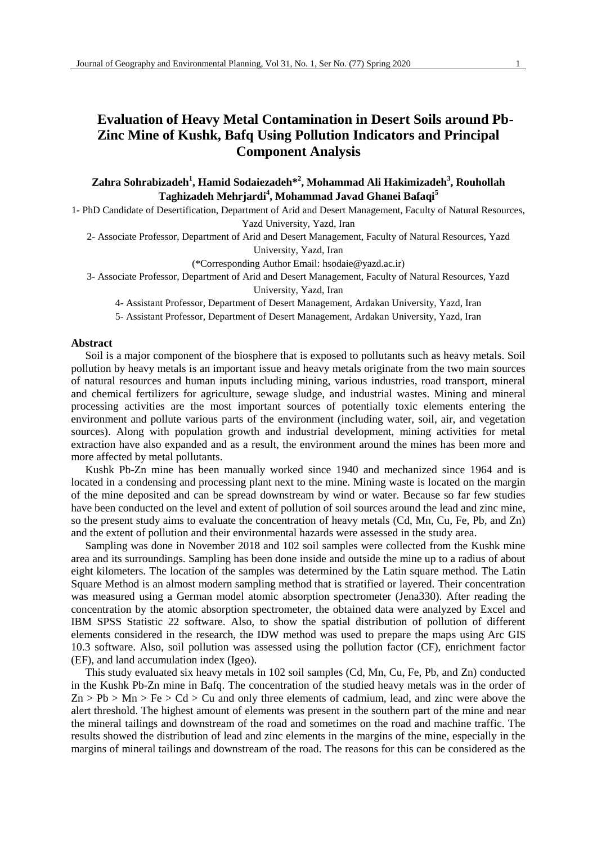### **Evaluation of Heavy Metal Contamination in Desert Soils around Pb-Zinc Mine of Kushk, Bafq Using Pollution Indicators and Principal Component Analysis**

**Zahra Sohrabizadeh<sup>1</sup> , Hamid Sodaiezadeh\*<sup>2</sup> , Mohammad Ali Hakimizadeh<sup>3</sup> , Rouhollah Taghizadeh Mehrjardi<sup>4</sup> , Mohammad Javad Ghanei Bafaqi<sup>5</sup>**

1- PhD Candidate of Desertification, Department of Arid and Desert Management, Faculty of Natural Resources, Yazd University, Yazd, Iran

2- Associate Professor, Department of Arid and Desert Management, Faculty of Natural Resources, Yazd University, Yazd, Iran

(\*Corresponding Author Email: hsodaie@yazd.ac.ir)

3- Associate Professor, Department of Arid and Desert Management, Faculty of Natural Resources, Yazd

University, Yazd, Iran

4- Assistant Professor, Department of Desert Management, Ardakan University, Yazd, Iran

5- Assistant Professor, Department of Desert Management, Ardakan University, Yazd, Iran

#### **Abstract**

Soil is a major component of the biosphere that is exposed to pollutants such as heavy metals. Soil pollution by heavy metals is an important issue and heavy metals originate from the two main sources of natural resources and human inputs including mining, various industries, road transport, mineral and chemical fertilizers for agriculture, sewage sludge, and industrial wastes. Mining and mineral processing activities are the most important sources of potentially toxic elements entering the environment and pollute various parts of the environment (including water, soil, air, and vegetation sources). Along with population growth and industrial development, mining activities for metal extraction have also expanded and as a result, the environment around the mines has been more and more affected by metal pollutants.

Kushk Pb-Zn mine has been manually worked since 1940 and mechanized since 1964 and is located in a condensing and processing plant next to the mine. Mining waste is located on the margin of the mine deposited and can be spread downstream by wind or water. Because so far few studies have been conducted on the level and extent of pollution of soil sources around the lead and zinc mine, so the present study aims to evaluate the concentration of heavy metals (Cd, Mn, Cu, Fe, Pb, and Zn) and the extent of pollution and their environmental hazards were assessed in the study area.

Sampling was done in November 2018 and 102 soil samples were collected from the Kushk mine area and its surroundings. Sampling has been done inside and outside the mine up to a radius of about eight kilometers. The location of the samples was determined by the Latin square method. The Latin Square Method is an almost modern sampling method that is stratified or layered. Their concentration was measured using a German model atomic absorption spectrometer (Jena330). After reading the concentration by the atomic absorption spectrometer, the obtained data were analyzed by Excel and IBM SPSS Statistic 22 software. Also, to show the spatial distribution of pollution of different elements considered in the research, the IDW method was used to prepare the maps using Arc GIS 10.3 software. Also, soil pollution was assessed using the pollution factor (CF), enrichment factor (EF), and land accumulation index (Igeo).

This study evaluated six heavy metals in 102 soil samples (Cd, Mn, Cu, Fe, Pb, and Zn) conducted in the Kushk Pb-Zn mine in Bafq. The concentration of the studied heavy metals was in the order of  $Zn > Pb > Mn > Fe > Cd > Cu$  and only three elements of cadmium, lead, and zinc were above the alert threshold. The highest amount of elements was present in the southern part of the mine and near the mineral tailings and downstream of the road and sometimes on the road and machine traffic. The results showed the distribution of lead and zinc elements in the margins of the mine, especially in the margins of mineral tailings and downstream of the road. The reasons for this can be considered as the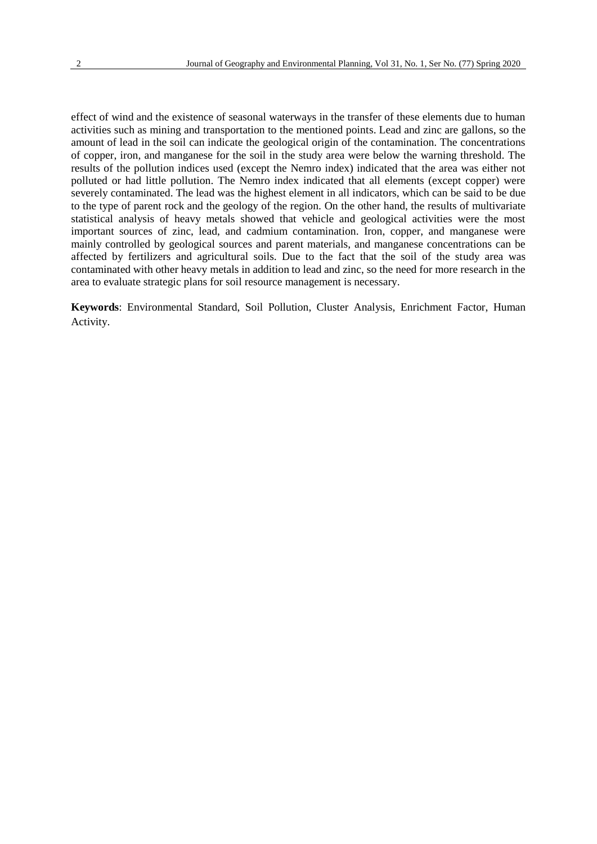effect of wind and the existence of seasonal waterways in the transfer of these elements due to human activities such as mining and transportation to the mentioned points. Lead and zinc are gallons, so the amount of lead in the soil can indicate the geological origin of the contamination. The concentrations of copper, iron, and manganese for the soil in the study area were below the warning threshold. The results of the pollution indices used (except the Nemro index) indicated that the area was either not polluted or had little pollution. The Nemro index indicated that all elements (except copper) were severely contaminated. The lead was the highest element in all indicators, which can be said to be due to the type of parent rock and the geology of the region. On the other hand, the results of multivariate statistical analysis of heavy metals showed that vehicle and geological activities were the most important sources of zinc, lead, and cadmium contamination. Iron, copper, and manganese were mainly controlled by geological sources and parent materials, and manganese concentrations can be affected by fertilizers and agricultural soils. Due to the fact that the soil of the study area was contaminated with other heavy metals in addition to lead and zinc, so the need for more research in the area to evaluate strategic plans for soil resource management is necessary.

**Keywords**: Environmental Standard, Soil Pollution, Cluster Analysis, Enrichment Factor, Human Activity.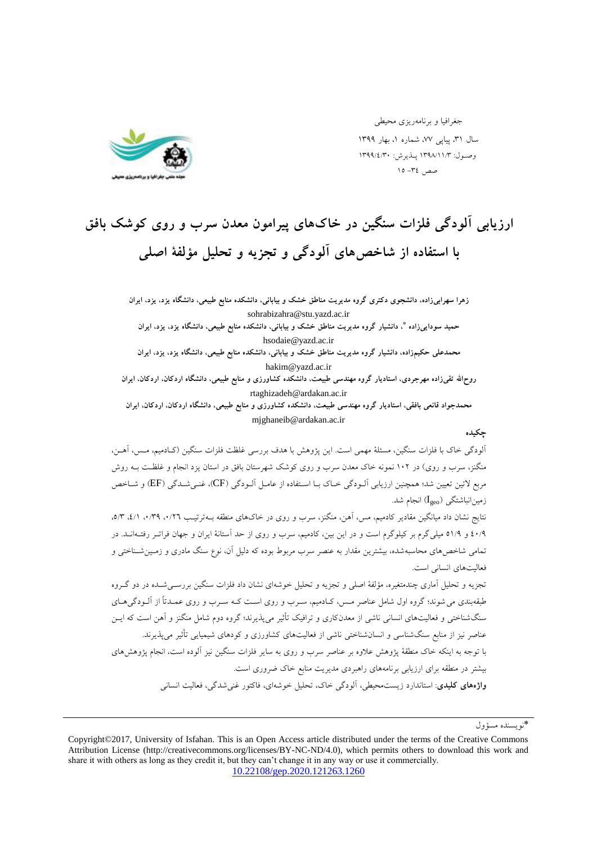

جغرافيا و برنامهريزي محيطي سال ۳۱، پیایی ۷۷، شماره ۱، بهار ۱۳۹۹ وصـول: ١٣٩٨/١١/٣ پـذيرش: ١٣٩٩/٤/٣٠ صص ٣٤- ١٥

# ارزیابی آلودگی فلزات سنگین در خاکهای پیرامون معدن سرب و روی کوشک بافق با استفاده از شاخص های آلودگی و تجزیه و تحلیل مؤلفهٔ اصلی

زهرا سهرابیزاده، دانشجوی دکتری گروه مدیریت مناطق خشک و بیابانی، دانشکده منابع طبیعی، دانشگاه یزد، یزد، ایران sohrabizahra@stu.yazd.ac.ir حمید سودایی¿اده ٌ، دانشیار گروه مدیریت مناطق خشک و بیابانی، دانشکده منابع طبیعی، دانشگاه یزد، یزد، ایران hsodaie@yazd.ac.ir محمدعلی حکیمزاده، دانشیار گروه مدیریت مناطق خشک و بیابانی، دانشکده منابع طبیعی، دانشگاه یزد، یزد، ایران hakim@yazd.ac.ir روحالله تقیزاده مهرجردی، استادیار گروه مهندسی طبیعت، دانشکده کشاورزی و منابع طبیعی، دانشگاه اردکان، اردکان، ایران rtaghizadeh@ardakan.ac.ir محمدجواد قانعی بافقی، استادیار گروه مهندسی طبیعت، دانشکده کشاورزی و منابع طبیعی، دانشگاه اردکان، اردکان، ایران mjghaneib@ardakan.ac.ir چکیده آلودگی خاک با فلزات سنگين، مسئلهٔ مهمی است. اين پژوهش با هدف بررسی غلظت فلزات سنگين (کـادميم، مـس، آهــن، منگنز، سرب و روی) در ۱۰۲ نمونه خاک معدن سرب و روی کوشک شهرستان بافق در استان یزد انجام و غلظـت بـه روش مربع لاتين تعيين شد؛ همچنين ارزيابي آلــودگي خــاک بــا اســتفاده از عامـل آلــودگی (CF)، غنــيشــدگی (EF) و شــاخص زمين انباشتگي (I<sub>geo</sub>) انجام شد. نتايج نشان داد ميانگين مقادير کادميم، مس، آهن، منگنز، سرب و روي در خاکهاي منطقه بــهترتيـب ٠/٣٩، ٠/٢٩، ٥/١، ٥/٣ 40/9 و \$/01 ميلي گرم بر کيلوگرم است و در اين بين، کادميم، سرب و روى از حد آستانهٔ ايران و جهان فراتـر رفتــهانــد. در تمامي شاخص&اي محاسبهشده، بيشترين مقدار به عنصر سرب مربوط بوده که دليل آن، نوع سنگ مادري و زمـينشــناختي و فعالیتهای انسانی است. تجزیه و تحلیل آماری چندمتغیره، مؤلفهٔ اصلی و تجزیه و تحلیل خوشهای نشان داد فلزات سنگین بررســی شــده در دو گـروه طبقهبِندي مي شوند؛ گروه اول شامل عناصر مـس، کـبادميم، سـرب و روي اسـت کـه سـرب و روي عمـدتاً از آلــودگې هــاي سنگشناختی و فعالیتهای انسانی ناشی از معدنکاری و ترافیک تأثیر میپذیرند؛ گروه دوم شامل منگنز و آهن است که ایـن عناصر نیز از منابع سنگشناسی و انسانشناختی ناشی از فعالیتهای کشاورزی و کودهای شیمیایی تأثیر می پذیرند. با توجِه به اينکه خاک منطقهٔ پژوهش علاوه بر عناصر سرب و روي به ساير فلزات سنگين نيز آلوده است، انجام پژوهشرهاي بیشتر در منطقه برای ارزیابی برنامههای راهبردی مدیریت منابع خاک ضروری است. و**اژههای کلیدی**: استاندارد زیست،حیطی، آلوِدگی خاک، تحلیل خوشهای، فاکتور غنی شدگی، فعالیت انسانی

<sup>\*ُ</sup>نو بسنده مسؤول

Copyright©2017, University of Isfahan. This is an Open Access article distributed under the terms of the Creative Commons Attribution License (http://creativecommons.org/licenses/BY-NC-ND/4.0), which permits others to download this work and share it with others as long as they credit it, but they can't change it in any way or use it commercially. [10.22108/gep.2020.121263.1260](10.22108/GEP.2020.121263.1260)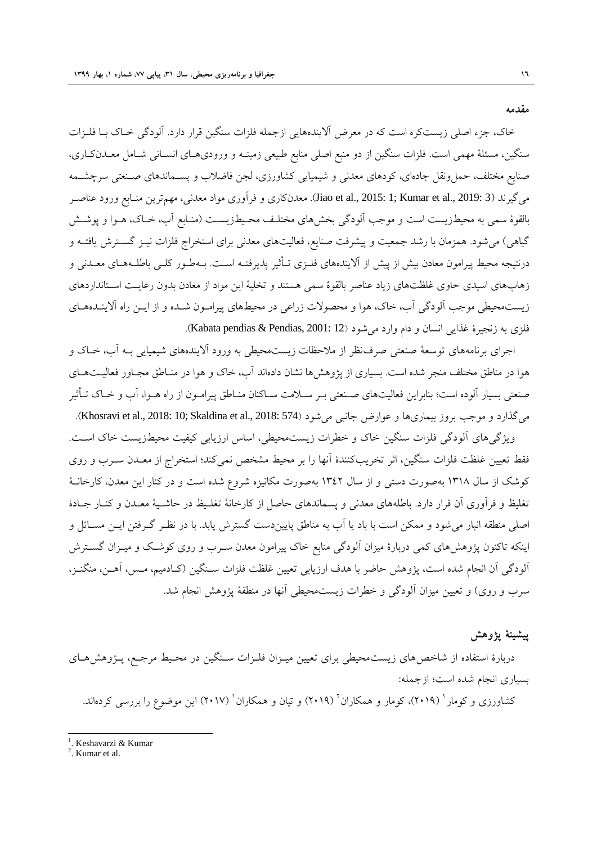**هقذهِ**

خاک، جزء اصلی زیستکره است که در معرض آلایندههایی ازجمله فلزات سنگین قرار دارد. آلودگی خـاک بـا فلـزات سنگين، مسئلهٔ مهمی است. فلزات سنگين از دو منبع اصلي منابع طبيعي زمينــه و وروديهــاي انســاني شــامل معــدنکــاري، صنايع مختلف، حملونقل جادهاي، کودهاي معدني و شيميايي کشاورزي، لجن فاضلاب و پســماندهاي صــنعتي سرچشــمه هِيگيرند (3 .3191 .Jiao et al., 2015: 1; Kumar et al., 2019). معدنکاري و فرآوري مواد معدني، مهمترين منـابع ورود عناصـر بالقوهٔ سمی به محیطزیست است و موجب آلودگی بخشهای مختلـف محـیطزیسـت (منـابع آب، خـاک، هــوا و پوشــش گیاهی) می شود. همزمان با رشد جمعیت و پیشرفت صنایع، فعالیتهای معدنی برای استخراج فلزات نیــز گســترش یافتــه و درنتيجه محيط پيرامون معادن بيش از پيش از آلايندههاى فلــزى تـأثير پذيرفتــه اســت. بــهطـور کلــي باطلــههــاى معــدنى و زهابهاى اسيدى حاوى غلظتهاى زياد عناصر بالقوة سمى هستند و تخليهٔ اين مواد از معادن بدون رعايـت اسـتانداردهاى زيستهحيطي موجب آلودگي آب، خاک، هوا و محصولات زراعی در محيطهاي پيرامــون شــده و از ايــن راه آلاينــدههــاي فلزی به زنجیرهٔ غذایی انسان و دام وارد میشود (Kabata pendias & Pendias, 2001: 12).

اجرای برنامههای توسعهٔ صنعتی صرفنظر از ملاحظات زیستمحیطی به ورود آلایندههای شیمیایی بـه اَب، خــاک و هوا در مناطق مختلف منجر شده است. بسیاری از پژوهشها نشان دادهاند آب، خاک و هوا در منـاطق مجـاور فعالیــتّهــای صنعتي بسيار آلوده است؛ بنابراين فعاليتهاى صـنعتي بـر سـلامت سـاکنان منـاطق پيرامــون از راه هــوا، آب و خــاک تـأثير میگذارد و موجب بروز بیماریها و عوارض جانبی می شود (Khosravi et al., 2018: 10; Skaldina et al., 2018: 574).

ویژگیِهای اَلودگی فلزات سنگین خاک و خطرات زیستهحیطی، اساس ارزیابی کیفیت محیطزیست خاک اسـت. فقط تعيين غلظت فلزات سنگين، اثر تخريبکنندهٔ آنها را بر محيط مشخص نميکند؛ استخراج از معـدن سـرب و روي کوشک از سال ۱۳۱۸ بهصورت دستی و از سال ۱۳٤۲ بهصورت مکانیزه شروع شده است و در کنار این معدن، کارخانـهٔ تغليظ و فرآوري آن قرار دارد. باطلههاى معدني و پسماندهاى حاصل از کارخانهٔ تغلـیظ در حاشـیهٔ معـدن و کنـار جـادهٔ اصلي منطقه انبار مي شود و ممکن است با باد يا آب به مناطق پاييندست گسترش يابد. با در نظـر گـرفتن ايـن مســائل و اینکه تاکنون پژوهشهای کمی دربارهٔ میزان آلودگی منابع خاک پیرامون معدن سـرب و روی کوشـک و میـزان گســترش آلودگی آن انجام شده است، پژوهش حاضر با هدف ارزيابي تعيين غلظت فلزات سـنگين (کـادميم، مـس، آهـن، منگنـز، سرب و روی) و تعیین میزان آلودگی و خطرات زیستمحیطی آنها در منطقهٔ پژوهش انجام شد.

#### **پ٘ؽٌٔ٘ پصٍّػ**

دربارهٔ استفاده از شاخصهاى زيستمحيطي براى تعيين ميـزان فلـزات سـنگين در محـيط مرجـع، پــژوهشهــاى بسياري انجام شده است؛ ازجمله:

کشاورزی و کومار <sup>'</sup> (۲۰۱۹)، کومار و همکاران <sup>۱</sup> (۲۰۱۹) و تیان و همکاران <sup>'</sup> (۲۰۱۷) این موضوع را بررسی کردهاند.

l

<sup>&</sup>lt;sup>1</sup>. Keshavarzi & Kumar

<sup>2</sup> . Kumar et al.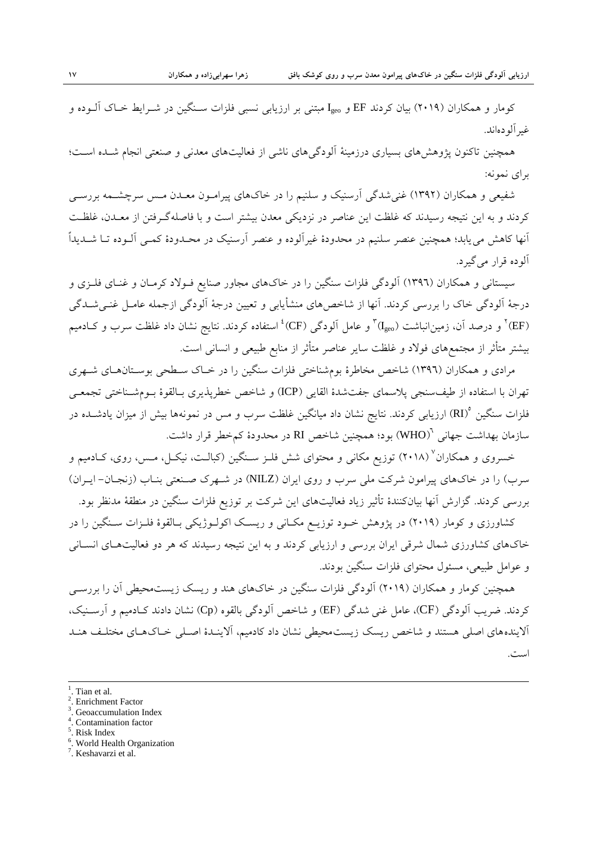کومار و همکاران (۲۰۱۹) بيان کردند EF و I<sub>geo</sub> مبتنی بر ارزيابی نسببی فلزات سـنگين در شـرايط خـاک آلــوده و غير آلو دهاند.

همچنین تاکنون پژوهشهای بسیاری درزمینهٔ آلودگیهای ناشی از فعالیتهای معدنی و صنعتی انجام شـده اسـت؛ براي نمونه:

شفیعی و همکاران (۱۳۹۲) غنی شدگی آرسنیک و سلنیم را در خاکهای پیرامـون معـدن مـس سرچشـمه بررسـی کردند و به اين نتيجه رسيدند که غلظت اين عناصر در نزديکی معدن بيشتر است و با فاصلهگـرفتن از معـدن، غلظـت آنها کاهش می یابد؛ همچنین عنصر سلنیم در محدودهٔ غیرآلوده و عنصر آرسنیک در محـدودهٔ کمـی آلــوده تــا شــدیداً آلو ده قرار می گیر د.

سیستانی و همکاران (١٣٩٦) آلودگی فلزات سنگین را در خاکهای مجاور صنایع فـولاد کرمـان و غنـای فلـزی و درجهٔ آلودگی خاک را بررسی کردند. آنها از شاخصهای منشأیابی و تعیین درجهٔ آلودگی ازجمله عامـل غنــیشــدگی (EF) ً و درصد آن، زمین|نباشت (I<sub>geo</sub>) ً و عامل آلودگ<sub>ی</sub> (CF)<sup>،</sup> استفاده کردند. نتایج نشان داد غلظت سرب و کــادمیم بیشتر متأثر از مجتمعهای فولاد و غلظت سایر عناصر متأثر از منابع طبیعی و انسانی است.

مرادى و همكاران (١٣٩٦) شاخص مخاطرهٔ بومشناختى فلزات سنگين را در خـاک سـطحى بوسـتانهـاى شـهرى تْهِران با استفاده از طيفسنجي پلاسماي جفتشدهٔ القايبي (ICP) و شاخص خطرپذيري بـالقوهٔ بــومشــناختي تجمعــي فلزات سنگین °(RI) ارزیابی کردند. نتایج نشان داد میانگین غلظت سرب و مس در نمونهها بیش از میزان یادشــده در سازمان بهداشت جهانی '(WHO) بود؛ همچنین شاخص RI در محدودهٔ کمخطر قرار داشت.

خسروی و همکاران<sup>٬</sup> (۲۰۱۸) توزیع مکانی و محتوای شش فلـز سـنگین (کبالـت، نیکـل، مـس، روی، کــادمیم و سرب) را در خاکهاى پيرامون شرکت ملى سرب و روى ايران (NILZ) در شـهرک صـنعتى بنـاب (زنجـان- ايـران) بررسی کردند. گزارش آنها بيانکنندهٔ تأثير زياد فعاليتهاى اين شرکت بر توزيع فلزات سنگين در منطقهٔ مدنظر بود.

کشاورزی و کومار (۲۰۱۹) در پژوهش خـود توزيــع مکـانی و ريسـک اکولـوژيکی بـالقوهٔ فلـزات سـنگين را در خاکهاى کشاورزى شمال شرقى ايران بررسى و ارزيابى کردند و به اين نتيجه رسيدند که هر دو فعاليتهـاى انسـانى و عوامل طبيعي، مسئول محتواي فلزات سنگين بودند.

همچنين کومار و همکاران (٢٠١٩) اَلودگی فلزات سنگين در خاکهای هند و ريسک زيستمحيطي اَن را بررســي کردند. ضریب آلودگی (CF)، عامل غنی شدگی (EF) و شاخص آلودگی بالقوه (Cp) نشان دادند کـادمیم و آرســنیک، آلایندههای اصلی هستند و شاخص ریسک زیستمحیطی نشان داد کادمیم، آلاینـدهٔ اصـلی خـاکهـای مختلـف هنـد است.

 $\overline{a}$ 

- 3 . Geoaccumulation Index
- 4 . Contamination factor
- 5 . Risk Index
- 6 . World Health Organization
- <sup>7</sup>. Keshavarzi et al.

<sup>1</sup> . Tian et al.

<sup>2</sup> . Enrichment Factor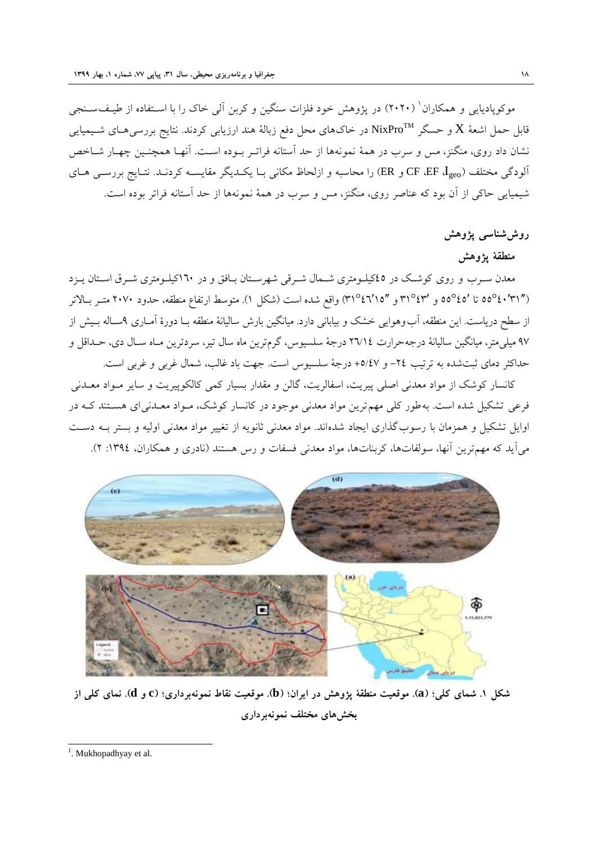موکوپادیایی و همکاران ٔ (۲۰۲۰) در پژوهش خود فلزات سنگین و کربن اّلی خاک را با اسـتفاده از طیـف<code>ســنجی</code> قابل حمل اشعهٔ  $\bf{X}$  و حسگر  $\bf{N}$ ixPro در خاک $\bf{a}$ ای محل دفع زبالهٔ هند ارزیابی کردند. نتایج بررسی $\bf{X}$  شـیمیایی نشان داد روی، منگنز، مس و سرب در همهٔ نمونهها از حد اَستانه فراتـر بـوده اسـت. اَنهـا همچنـین چهـار شــاخص آلودگی مختلف CF، EF،  $I_{\rm geo}$ و ER) را محاسبه و ازلحاظ مکانی بـا یکـدیگر مقایســه کردنـد. نتـایج بررســی هــای شیمیایی حاکی از آن بود که عناصر روی، منگنز، مس و سرب در همهٔ نمونهها از حد آستانه فراتر بوده است.

#### روش شناس<sub>ی</sub> پژوهش

#### منطقهٔ پژوهش

معدن سـرب و روی کوشـک در ٤٥کیلــومتری شــمال شــرقی شهرسـتان بـافق و در ١٦٠کیلــومتری شــرق اسـتان يــزد (۳۱°٬۶۲°م0 تا '۵۵°۵ه و ′۳۱°۳۱° و ″۳۱°۲۱°) واقع شده است (شکل ۱). متوسط ارتفاع منطقه، حدود ۲۰۷۰ متـر بـالاتر از سطح درياست. اين منطقه، آب وهوايي خشک و بياباني دارد. ميانگين بارش ساليانهٔ منطقه بـا دورهٔ آمـاري ۹سـاله بـيش از ۹۷ میلپیمتر، میانگین سالیانهٔ درجِهحرارت ٢٦/١٤ درجهٔ سلسیوس، گرمترین ماه سال تیر، سردترین مـاه سـال دی، حــداقل و حداکثر دمای ثبتشده به ترتیب ٢٤- و ٥/٤٧+ درجهٔ سلسیوس است. جهت باد غالب، شمال غربی و غربی است.

کانسار کوشک از مواد معدنی اصلی پیریت، اسفالریت، گالن و مقدار بسیار کمی کالکوپیریت و سایر مــواد معــدنی فرعی تشکیل شده است. بهِ طور کلی مهم ترین مواد معدنی موجود در کانسار کوشک، مـواد معـدنی ای هسـتند کـه در اوایل تشکیل و همزمان با رسوب گذاری ایجاد شدهاند. مواد معدنی ثانویه از تغییر مواد معدنی اولیه و بستر بــه دســت میآید که مهمترین آنها، سولفاتها، کربناتها، مواد معدنی فسفات و رس هستند (نادری و همکاران، ١٣٩٤: ٢).



شکل ۱. شمای کلی؛ (a). موقعیت منطقهٔ پژوهش در ایران؛ (b). موقعیت نقاط نمونهبرداری؛ (c و d). نمای کلی از **تخػّإ هختلف ًوًَِتردارٕ**

<sup>&</sup>lt;sup>1</sup>. Mukhopadhyay et al.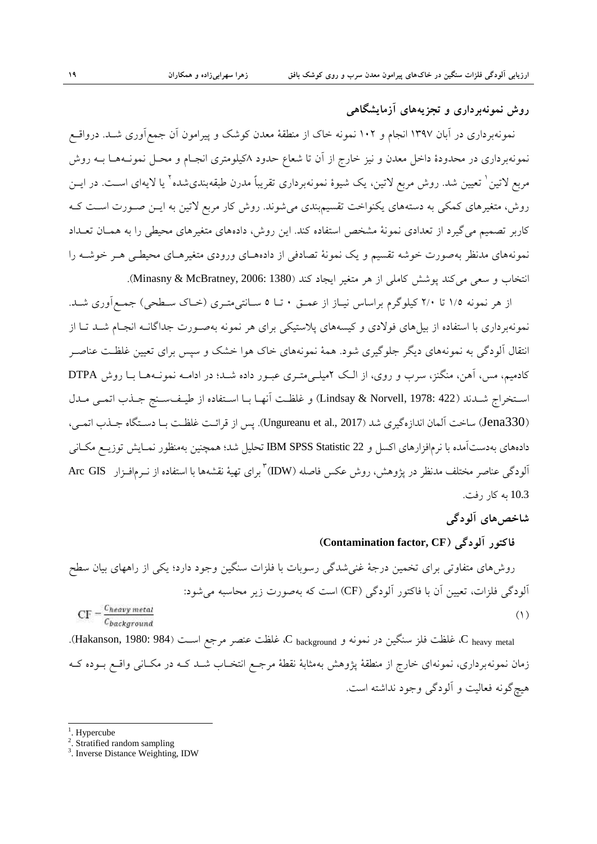## **رٍغ ًوًَِتردارٕ ٍ تجسِّٗإ آزهاٗؽگاّٖ**

نمونهبردارى در آبان ١٣٩٧ انجام و ١٠٢ نمونه خاک از منطقهٔ معدن کوشک و پیرامون آن جمع]ورى شـد. درواقــع نمونهبردارى در محدودهٔ داخل معدن و نيز خارج از آن تا شعاع حدود ٨کيلومترى انجـام و محـل نمونــههــا بــه روش مربع لاتین ٰ تعیین شد. روش مربع لاتین، یک شیوهٔ نمونهبرداری تقریباً مدرن طبقهبندیشده ٔ یا لایهای اسـت. در ایــن روش، متغيرهاي کمکې به دستههاي يکنواخت تقسيمېندي مي شوند. روش کار مربع لاتين به ايــن صــورت اســت کــه کاربر تصمیم میگیرد از تعدادی نمونهٔ مشخص استفاده کند. این روش، دادههای متغیرهای محیطی را به همـان تعـداد نمونههای مدنظر بهصورت خوشه تقسیم و یک نمونهٔ تصادفی از دادههـای ورودی متغیرهـای محیطـی هـر خوشــه را انتخاب و سعی میکند پوشش کاملی از هر متغیر ایجاد کند (Minasny & McBratney, 2006: 1380).

از هر نمونه ١/٥ تا ٢/٠ کیلوگرم براساس نیـاز از عمـق ٠ تـا ٥ سـانتی¤تـری (خـاک سـطحی) جمـع|وری شـد. نمونهبرداری با استفاده از بیلهای فولادی و کیسههای پلاستیکی برای هر نمونه بهصـورت جداگانــه انجـام شــد تــا از انتقال آلودگی به نمونههای دیگر جلوگیری شود. همهٔ نمونههای خاک هوا خشک و سپس برای تعیین غلظـت عناصـر کادمیم، مس، آهن، منگنز، سرب و روی، از الـک ۲میلـه متـری عبـور داده شـد؛ در ادامـه نمونـههـا بـا روش DTPA اسـتخراج شـدند (Lindsay & Norvell, 1978: 422) و غلظـت آنهـا بـا اسـتفاده از طيـفسـنج جـذب اتمـي مـدل (Jena330) ساخت آلمان اندازهگیری شد (Ungureanu et al., 2017). پس از قرائـت غلظـت بـا دسـتگاه جـذب اتمـی، دادههاي بِهدستآمده با نرمافزارهاي اکسل و 22 IBM SPSS Statistic تحليل شد؛ همچنين بهمنظور نمـايش توزيــع مکـاني آلودگ<sub>ی</sub> عناصر مختلف مدنظر در پژوهش، روش عکس فاصله (IDW) <sup>۲</sup>برای تهیهٔ نقشهها با استفاده از نــرم|فــزار Arc GIS 10.3 ثِ کبر رفت.

#### **ؼاخصّإ آلَدگٖ**

#### **فاکتَر آلَدگٖ )CF ,factor Contamination)**

روشهاى متفاوتى براى تخمين درجهٔ غني شدگي رسوبات با فلزات سنگين وجود دارد؛ يکي از راههاى بيان سطح آلودگی فلزات، تعیین آن با فاکتور آلودگی (CF) است که بهصورت زیر محاسبه می شود:  $CF - \frac{C_{heavy\,metal}}{2}$  $(1)$ Chackground

C heavy metal غلظت فلز سنگين در نمونه و C background كه غلظت عنصر مرجع اسـت (984 :Hakanson, 1980: 984). زمان نمونهبرداری، نمونهای خارج از منطقهٔ پژوهش بهمثابهٔ نقطهٔ مرجـع انتخـاب شـد کـه در مکـانـی واقــع بــوده کــه هيچگونه فعاليت و آلودگي وجود نداشته است.

<sup>1</sup>. Hypercube

l

<sup>2</sup> . Stratified random sampling

<sup>&</sup>lt;sup>3</sup>. Inverse Distance Weighting, IDW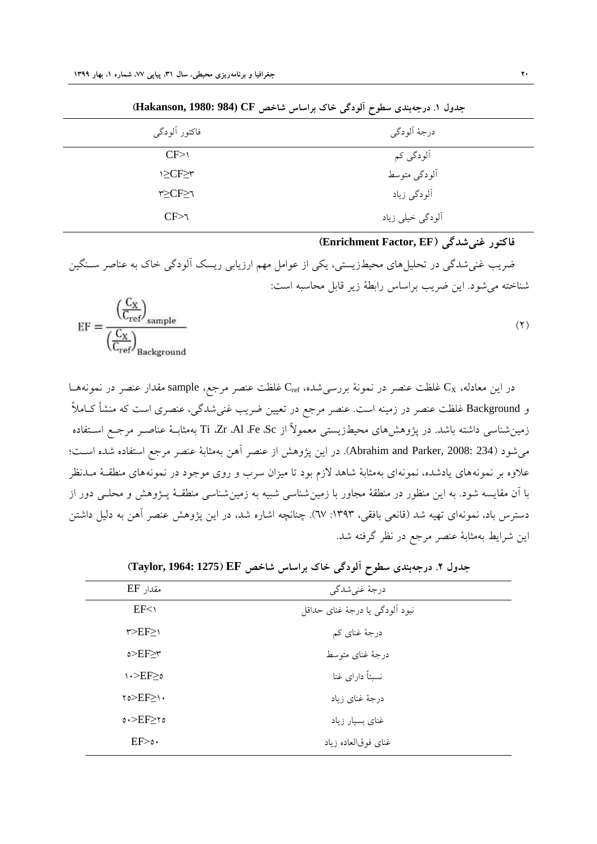|               | -                |
|---------------|------------------|
| فاكتور ألودگي | درجهٔ اَلودگی    |
| CF>1          | آلودگی کم        |
| \≥CF≥۳        | ألودگي متوسط     |
| ۳≥CF≥٦        | آلودگي زياد      |
| $CF$ $\geq$   | ألودگي خيلي زياد |

جدول ١. درجِهِبندي سطوح آلودگي خاک براساس شاخص CF(Hakanson, 1980: 984)

#### **فاکتَر غٌٖؼذگٖ )EF ,Factor Enrichment)**

ضریب غنیشدگی در تحلیلِهای محیطزیستی، یکی از عوامل مهم ارزیابی ریسک آلودگی خاک به عناصر سـنگین شناخته می شود. اين ضريب براساس رابطهٔ زير قابل محاسبه است:

$$
EF = \frac{\left(\frac{C_X}{C_{ref}}\right)_{\text{sample}}}{\left(\frac{C_X}{C_{ref}}\right)_{\text{Background}}}
$$
 (7)

در اين معادله،  ${\rm C}_{\rm X}$  غلظت عنصر در نمونهٔ بررسی شده، C<sub>ref</sub> غلظت عنصر مرجع، sample مقدار عنصر در نمونههــا و Background غلظت عنصر در زمینه است. عنصر مرجع در تعیین ضریب غنیشدگی، عنصری است که منشأ کــاملاً زمین شناسی داشته باشد. در پژوهشهای محیطزیستی معمولاً از Ti ،Zr ،Al ،Fe ،Sc بهمثابـهٔ عناصـر مرجـع اسـتفاده مي شود (234 :Abrahim and Parker, 2008). در اين پژوهش از عنصر آهن بهمثابهٔ عنصر مرجع استفاده شده است؛ علاوه بر نمونههاى يادشده، نمونهاى بهمثابهٔ شاهد لازم بود تا ميزان سرب و روى موجود در نمونههاى منطقـهٔ مـدنظر با آن مقايسه شود. بِه اين منظور در منطقهٔ مجاور با زمين شناسي شبيه به زمين شناسي منطقـهٔ پــژوهش و محلــي دور از دسترس باد، نمونهاي تهيه شد (قانعي بافقي، ١٣٩٣: ٦٧). چنانچه اشاره شد، در اين پژوهش عنصر آهن به دليل داشتن اين شرايط بهمثابهٔ عنصر مرجع در نظر گرفته شد.

| مقدار EF        | درجهٔ غنیشدگی                   |  |
|-----------------|---------------------------------|--|
| EF <sub>1</sub> | نبود ألودگي يا درجهٔ غناي حداقل |  |
| $r>EF\geq 0$    | درجهٔ غنای کم                   |  |
| o > E F > r     | درجهٔ غنای متوسط                |  |
| ە≤N∙≻EF         | نسبتاً دارای غنا                |  |
| $\gamma$        | درجهٔ غنای زیاد                 |  |
| $0.$ >EF>ro     | غنای بسیار زیاد                 |  |
| EF > 0          | غناي فوق لعاده زياد             |  |

**جذٍل .0 درجِتٌذٕ ظطَح آلَدگٖ خاک تراظاض ؼاخص EF( 1275 1964: ,Taylor)**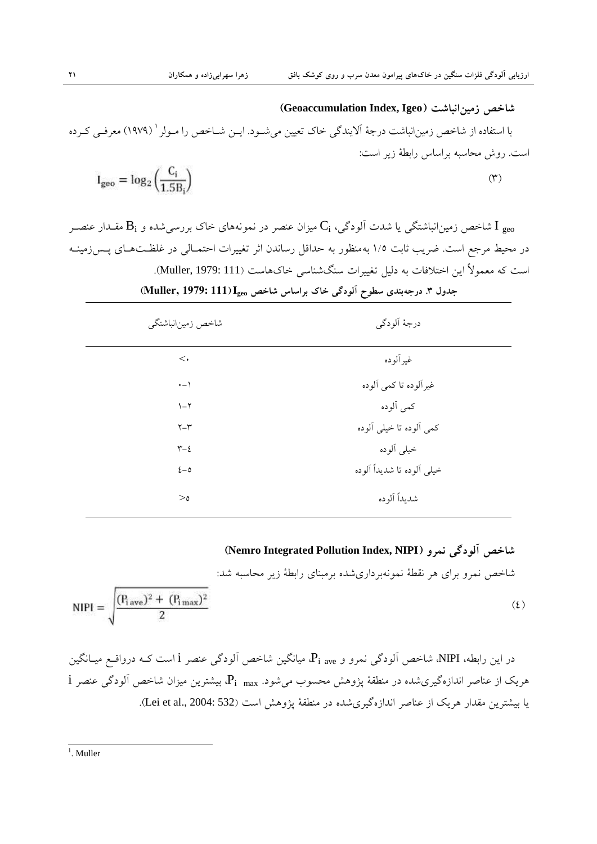**ؼاخص زه٘ياًثاؼت )Igeo ,Index Geoaccumulation)** با استفاده از شاخص زمین|نباشت درجهٔ الایندگی خاک تعیین میشــود. ایــن شــاخص را مــولر ` (۱۹۷۹) معرفــی کــرده است. روش محاسبه براساس رابطهٔ زیر است:  $I_{geo} = log_2 \left( \frac{C_i}{1.5R_i} \right)$  $(1)$ 

شاخص زمین|نباشتگی یا شدت آلودگی، ; $\rm C_{i}$  میزان عنصر در نمونههای خاک بررسیشده و  $\rm B_{i}$  مقــدار عنصــر  $\rm I$   $_{\rm geo}$ در محیط مرجع است. ضریب ثابت ١/٥ بِهمنظور بِه حداقل رساندن اثر تغییرات احتمـالی در غلظـتهـای پـس(مینــه است که معمولاً اين اختلافات به دليل تغييرات سنگشناسي خاکهاست (Muller, 1979: 111). جدول ۳. درجِهبندی سطوح آلودگی خاک براساس شاخص Muller, 1979: 111)I<sub>geo</sub>

| شاخص زمينانباشتگي         | درجهٔ اَلودگی              |
|---------------------------|----------------------------|
| $\lt$                     | غيرألوده                   |
| $\cdot$ - $\wedge$        | غیرآلوده تا کمی آلوده      |
| $\mathcal{N}-\mathcal{N}$ | كمي ألوده                  |
| $Y - Y$                   | كمي ألوده تا خيلي ألوده    |
| $\tau-\epsilon$           | خيلي ألوده                 |
| $2-\delta$                | خيلي ألوده تا شديداً ألوده |
| $>_{\circ}$               | شديداً آلوده               |

#### **)Nemro Integrated Pollution Index, NIPI( ٍورً ٖدگَآل ؼاخص**

شاخص نمرو براي هر نقطة نمونهبرداريشده برمبناي رابطة زير محاسبه شد:

$$
NIPI = \sqrt{\frac{(P_{i\,\text{ave}})^2 + (P_{i\,\text{max}})^2}{2}}
$$
 (6)

در اين رابطه، NIPI، شاخص آلودگی نمرو و P<sub>i ave،</sub> فيانگين شاخص آلودگ<sub>ی</sub> عنصر i است کـه درواقــع ميــانگين  $\rm\,i$  هریک از عناصر اندازهگیری شده در منطقهٔ پژوهش محسوب میشود.  $\rm P_{i-max}$ ، بیشترین میزان شاخص آلودگی عنصر  $\rm\,i$ یا بیشترین مقدار هریک از عناصر اندازهگیریشده در منطقهٔ پژوهش است (532 :Lei et al., 2004: 532).

 $\frac{1}{1}$ . Muller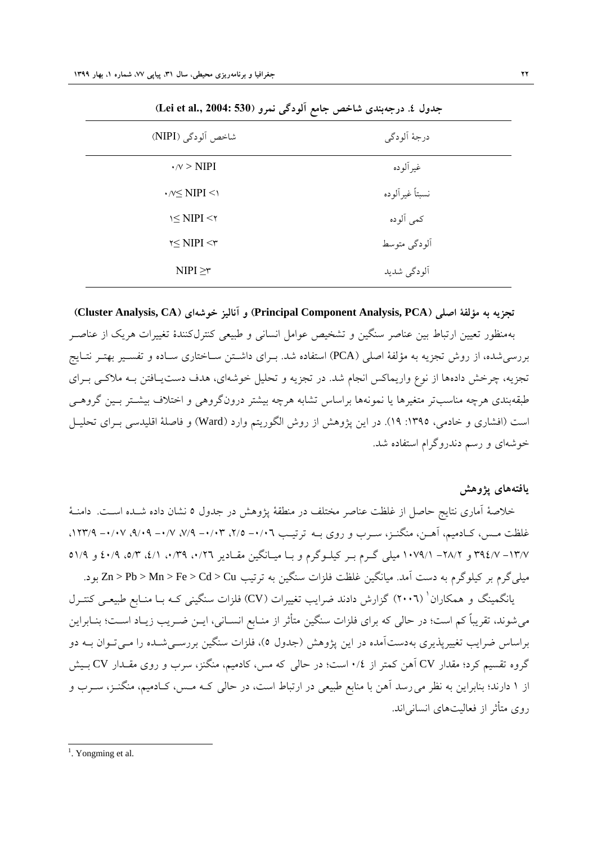| بعدون ته. در ب بندی شد حسن ابسم الود می صرو (600 mer ee am, 200 m |  |  |  |  |
|-------------------------------------------------------------------|--|--|--|--|
| درجهٔ الودگی                                                      |  |  |  |  |
| غير ألوده                                                         |  |  |  |  |
| نسبتاً غير الوده                                                  |  |  |  |  |
| كمي ألوده                                                         |  |  |  |  |
| ألودگي متوسط                                                      |  |  |  |  |
| آلودگی شدید                                                       |  |  |  |  |
|                                                                   |  |  |  |  |

**جذٍل .2 درجِتٌذٕ ؼاخص جاهع آلَدگٖ ًورٍ )530 2004: '.al et Lei)**

**تجسِٗ تِ هؤلفٔ اصلٖ )PCA ,Analysis Component Principal )ٍ آًال٘س خَؼِإ )CA ,Analysis Cluster)** بهمنظور تعيين ارتباط بين عناصر سنگين و تشخيص عوامل انساني و طبيعي کنترلکنندهٔ تغييرات هريک از عناصـر بررسی شده، از روش تجزیه به مؤلفهٔ اصلی (PCA) استفاده شد. بـرای داشـتن سـاختاری سـاده و تفسـير بهتـر نْتـايج تجزیه، چرخش دادهها از نوع واریماکس انجام شد. در تجزیه و تحلیل خوشهای، هدف دستیـافتن بـه ملاکـی بـرای طبقهبندی هرچِه مناسبتر متغیرِها یا نمونهها براساس تشابه هرچِه بیشتر درونگروهی و اختلاف بیشـتر بـین گروهـی است (افشاري و خادمي، ١٣٩٥: ١٩). در اين پژوهش از روش الگوريتم وارد (Ward) و فاصلهٔ اقليدسي بـراي تحليـل خوشهای و رسم دندروگرام استفاده شد.

#### **ٗافتِّإ پصٍّػ**

خلاصهٔ آماری نتایج حاصل از غلظت عناصر مختلف در منطقهٔ پژوهش در جدول ٥ نشان داده شـده اسـت. دامنـهٔ غلظت مـس، کـادميم، آهـن، منگـنـز، ســرب و روی بــه ترتيــب ٠/٠٢- ٢/٥، ٦/٠٣- ٧/٧، ٧/٧- ٩/٠٩، ١٢٣/٩. ۱۳/۷– ۳۹٤/۷ و ۲۸/۲– ۱۰۷۹/۱ میلی گـرم بـر کیلـوگرم و بـا میـانگین مقـادیر ۰/۲۲، ۰/۳۹، ۶/۱/ ،۵/۳ و ۱/۱۵ هیلبیگرم بر کیلوگرم به دست آمد. میانگین غلظت فلزات سنگین به ترتیب Zn > Pb > Mn > Fe > Cd > Cu بود.

بانگمینگ و همکاران' (۲۰۰٦) گزارش دادند ضرایب تغییرات (CV) فلزات سنگینی کـه بـا منـابع طبیعـی کنتـرل می شوند، تقریباً کم است؛ در حالی که برای فلزات سنگین متأثر از منـابع انســانی، ایــن ضــریب زیــاد اســت؛ بنــابراین براساس ضرايب تغييرپذيري بهدستآمده در اين پژوهش (جدول ٥)، فلزات سنگين بررســي شــده را مــي تــوان بــه دو گروه تقسیم کرد؛ مقدار CV آهن کمتر از ۰/٤ است؛ در حالی که مس، کادمیم، منگنز، سرب و روی مقــدار CV بــیش از ۱ دارند؛ بنابراين به نظر مي رسد آهن با منابع طبيعي در ارتباط است، در حالي کـه مـس، کـادميم، منگنـز، سـرب و روی متأثر از فعالیتهای انسانی اند.

 $\frac{1}{1}$ . Yongming et al.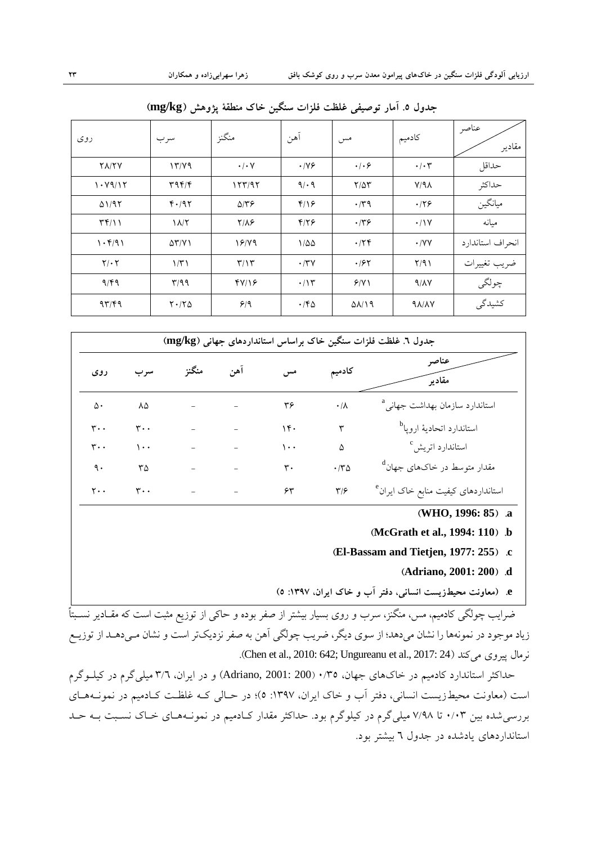| ر وی                                    | سر ب                 | منگنز                   | آهن              | مس                      | كادميم             | عناصر<br>مقادير  |
|-----------------------------------------|----------------------|-------------------------|------------------|-------------------------|--------------------|------------------|
| <b>TAITY</b>                            | 17/79                | $\cdot/\cdot$ Y         | .119             | .   . 9                 | $\cdot/\cdot7$     | حداقل            |
| 1.19117                                 | 49f/f                | 157/97                  | 9/19             | $Y/\Delta Y$            | $Y/9\lambda$       | حداكثر           |
| $\Delta$ 1/95                           | F.797                | $\Delta$ /٣۶            | $f/\sqrt{2}$     | $\cdot$ /۳۹             | .179               | ميانگين          |
| $\uparrow \uparrow / \uparrow \uparrow$ | $\lambda/\tau$       | $Y/\lambda$ ۶           | $f/\gamma$       | .149                    | .11V               | ميانه            |
| 1.591                                   | $\Delta Y/Y$         | 18/19                   | $1/\Delta\Delta$ | .75                     | $\cdot$ /YY        | انحراف استاندارد |
| $Y/\cdot Y$                             | 1/T1                 | $\mathbf{r}/\mathbf{r}$ | $\cdot$ /۳۷      | .185                    | Y/91               | ضريب تغييرات     |
| 9/59                                    | T/99                 | fY/Y                    | $\cdot/\gamma$   | 9/1                     | 9/1                | چولگى            |
| 97/99                                   | $Y \cdot / Y \Delta$ | 9/9                     | $\cdot$ /۴۵      | $\Delta\lambda/\lambda$ | $9\lambda/\lambda$ | كشيدگى           |

**جذٍل .3 آهار تَص٘فٖ غلظت فلسات ظٌگ٘ي خاک هٌطقٔ پصٍّػ )kg/mg)**

| جدول ٦. غلظت فلزات سنگین خاک براساس استانداردهای جهانی (mg/kg) |                |       |     |     |                 |                                                         |
|----------------------------------------------------------------|----------------|-------|-----|-----|-----------------|---------------------------------------------------------|
| روی                                                            | سر ب           | منگنز | آهن |     | كادميم          | عناصر<br>مقادير                                         |
| ۵٠                                                             | ٨۵             |       |     | ۳۶  | $\cdot/\lambda$ | استاندارد سازمان بهداشت جهان <sub>ه،</sub> <sup>8</sup> |
| $\mathbf{r}$                                                   | ٣.,            |       |     | 15. | ٣               | استاندارد اتحاديهٔ اروپا <sup>b</sup>                   |
| ۳۰۰                                                            | ۱۰۰            |       |     | ۱۰۰ | ۵               | استاندارد اتریش <sup>0</sup>                            |
| ٩.                                                             | ٣۵             |       |     | ٣.  | $\cdot$ $\neg$  | مقدار متوسط در خاکهای جهان <sup>d</sup>                 |
| ۲۰۰                                                            | $\mathbf{r}$ . |       |     | ۶۳  | ۳۱۶             | استانداردهای کیفیت منابع خاک ایران <sup>e</sup>         |

- **)WHO, 1996: 85( .a**
- **)McGrath et al., 1994: 110( .b**
- **)El-Bassam and Tietjen, 1977: 255( .c**
	- **)Adriano, 2001: 200( .d**
- **e.( هعاًٍت هح٘طزٗعت اًعا،ًٖ دفتر آب ٍ خاک اٗراى، 86175 3(**

ضرایب چولگ<sub>ی</sub> کادمیم، مس، منگنز، سرب و روی بسیار بیشتر از صفر بوده و حاک<sub>ی</sub> از توزیع مثبت است که مقــادیر نســبتاً زیاد موجود در نمونهها را نشان مىدهد؛ از سوى دیگر، ضریب چولگی آهن به صفر نزدیکتر است و نشان مـىدهـد از توزیــع زمال پیروی می کند (24 :Chen et al., 2010: 642; Ungureanu et al., 2017).

حداکثر استاندارد کادمیم در خاکّهاى جهان، 0/36 (Adriano, 2001: 200) و در ایران، ٣/٦ میلی گرم در کیلـوگرم است (معاونت محیطزیست انسانی، دفتر آب و خاک ایران، ۱۳۹۷: ٥)؛ در حـالی کـه غلظـت کـادمیم در نمونــههــای بررسی شده بین ۰/۰۳ تا ۷/۹۸ میلی گرم در کیلوگرم بود. حداکثر مقدار کـادمیم در نمونـههـای خـاک نسـبت بـه حـد استانداردهای یادشده در جدول ٦ بیشتر بود.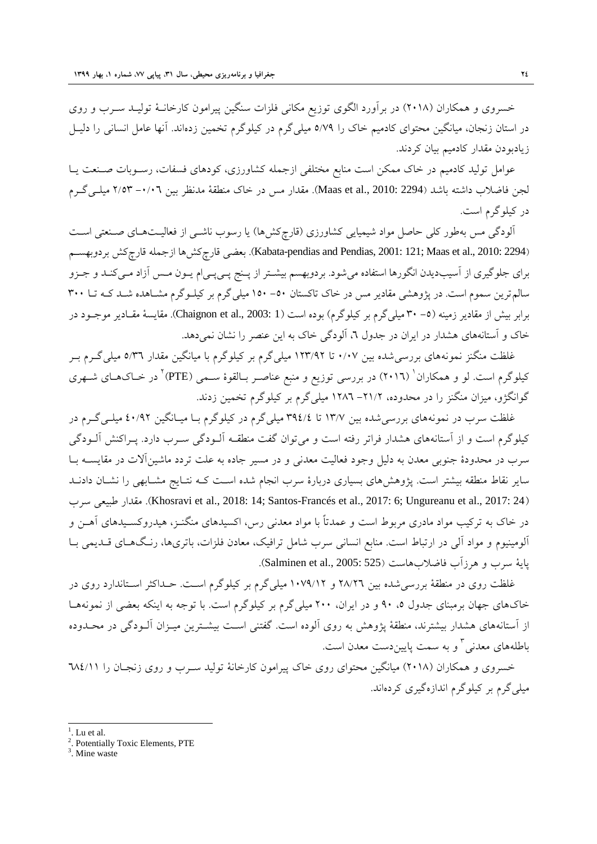خسروى و همکاران (٢٠١٨) در برآورد الگوى توزيع مکانى فلزات سنگين پيرامون کارخانــهٔ توليــد ســرب و روى در استان زنجان، میانگین محتوای کادمیم خاک را ٥/٧٩ میلی گرم در کیلوگرم تخمین زدهاند. آنها عامل انسانی را دلیـل زیادبودن مقدار کادمیم بیان کردند.

عوامل توليد کادميم در خاک ممکن است منابع مختلفي ازجمله کشاورزي، کودهای فسفات، رسـوبات صـنعت يـا لجن فاضلاب داشته باشد (2294 2010: 2294). مقدار مس در خاک منطقهٔ مدنظر بین ۰/۰٦– ۲/٥۳ میلــیگــرم در کیلوگرم است.

آلودگی مس بهطور کلی حاصل مواد شیمیایی کشاورزی (قارچکشها) یا رسوب ناشـبی از فعالیـتهـای صـنعتی اسـت (Kabata-pendias and Pendias, 2001: 121; Maas et al., 2010: 2294). بعضي قارچکش فا ازجمله قارچکش بردوبهســـم برای جلوگیری از آسیبدیدن انگورها استفاده میشود. بردوبهسم بیشـتر از پــنج پــیپـیام یــون مــس آزاد مــیکنــد و جــزو سالم ترين سموم است. در پژوهشى مقادير مس در خاک تاکستان ٥٠- ١٥٠ ميلي گرم بر کيلــوگرم مشــاهده شــد کــه تــا ٣٠٠ برابر بیش از مقادیر زمینه (0– ۳۰ میل<sub>ی</sub>گرم بر کیلوگرم) بوده است (1 :2003 .Chaignon et al., 2003). مقایسهٔ مقـادیر موجـود در خاک و آستانههاى هشدار در ايران در جدول ٦، آلودگی خاک به اين عنصر را نشان نمی دهد.

غلظت منگنز نمونههاي بررسي شده بين ١/٠٧ تا ١٢٣/٩٢ ميلي گرم بر كيلوگرم با ميانگين مقدار ٥/٣٦ ميلي گـرم بـر کیلوگرم است. لو و همکاران ٰ (۲۰۱٦) در بررسی توزیع و منبع عناصـر بـالقوهٔ سـمی (PTE) ٔ در خـاکهـای شـهری گوانگژو، میزان منگنز را در محدوده، ۲۱/۲– ۱۲۸٦ میلی گرم بر کیلوگرم تخمین زدند.

غلظت سرب در نمونههای بررسیشده بین ۱۳/۷ تا ۳۹٤/٤ میلیگرم در کیلوگرم بـا میـانگین ۶۰/۹۲ میلـیگـرم در کیلوگرم است و از آستانههاى هشدار فراتر رفته است و مى توان گفت منطقـه آلــودگى ســرب دارد. پــراکنش آلــودگى سرب در محدودهٔ جنوبی معدن به دلیل وجود فعالیت معدنی و در مسیر جاده به علت تردد ماشینآلات در مقایســه بــا سایر نقاط منطقه بیشتر است. پژوهشهای بسیاری دربارهٔ سرب انجام شده اسـت کـه نتـایج مشـابهی را نشـان دادنــد عقدار طبيعي سرب (Khosravi et al., 2018: 14; Santos-Francés et al., 2017: 6; Ungureanu et al., 2017: 24) در خاک به ترکیب مواد مادری مربوط است و عمدتاً با مواد معدنی رس، اکسیدهای منگنـز، هیدروکسـیدهای آهـن و آلومینیوم و مواد آلی در ارتباط است. منابع انسانی سرب شامل ترافیک، معادن فلزات، باتریها، رنگهـای قـدیمی بـا پايهٔ سرب و هرزآب فاضلابهاست (Salminen et al., 2005: 525).

غلظت روی در منطقهٔ بررسی شده بین ۲۸/۲٦ و ۱۰۷۹/۱۲ میلی گرم بر کیلوگرم اسـت. حـداکثر اسـتاندارد روی در خاکهای جهان برمبنای جدول ۰، ۹۰ و در ایران، ۲۰۰ میلی گرم بر کیلوگرم است. با توجه به اینکه بعضی از نمونههـا از آستانههای هشدار بیشترند، منطقهٔ پژوهش به روی آلوده است. گفتنی اسـت بیشـترین میــزان آلــودگی در محــدوده باطلههای معدنی <sup>۳</sup> و به سمت پایینِدست معدن است.

خسروى و همکاران (٢٠١٨) ميانگين محتواى روى خاک پيرامون کارخانهٔ توليد سـرب و روى زنجـان را ٦٨٤/١١ میلی گرم بر کیلوگرم اندازهگیری کردهاند.

l

 $<sup>1</sup>$ . Lu et al.</sup>

<sup>&</sup>lt;sup>2</sup>. Potentially Toxic Elements, PTE

<sup>3</sup> . Mine waste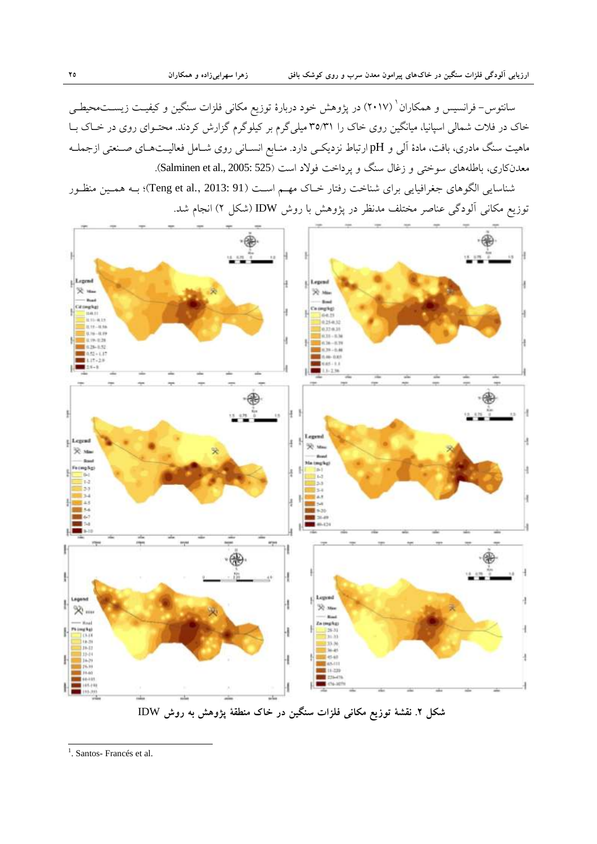سانتوس– فرانسیس و همکاران' (۲۰۱۷) در پژوهش خود دربارهٔ توزیع مکانی فلزات سنگین و کیفیـت زیســتمحیطــی خاک در فلات شمالي اسپانيا، ميانگين روی خاک را ٣٥/٣١ ميليگرم بر کيلوگرم گزارش کردند. محتــوای روی در خــاک بــا ماهیت سنگ مادری، بافت، مادهٔ آل<sub>ی</sub> و pH ارتباط نزدیکـی دارد. منـابع انســانی روی شــامل فعالیــتـهــای صــنعتی ازجملــه معدنکاری، باطلههای سوختی و زغال سنگ و پرداخت فولاد است (Salminen et al., 2005: 525).

شناسايي الگوهاي جغرافيايي براي شناخت رفتار خـاک مهـم اسـت (91 :3013 ;Teng et al., 2013)؛ بـه همـين منظـور توزیع مکانی آلودگی عناصر مختلف مدنظر در پژوهش با روش IDW (شکل ۲) انجام شد.



**ؼکل .0 ًقؽٔ تَزٗع هکاًٖ فلسات ظٌگ٘ي در خاک هٌطقٔ پصٍّػ تِ رٍغ** IDW

<sup>&</sup>lt;sup>1</sup>. Santos- Francés et al.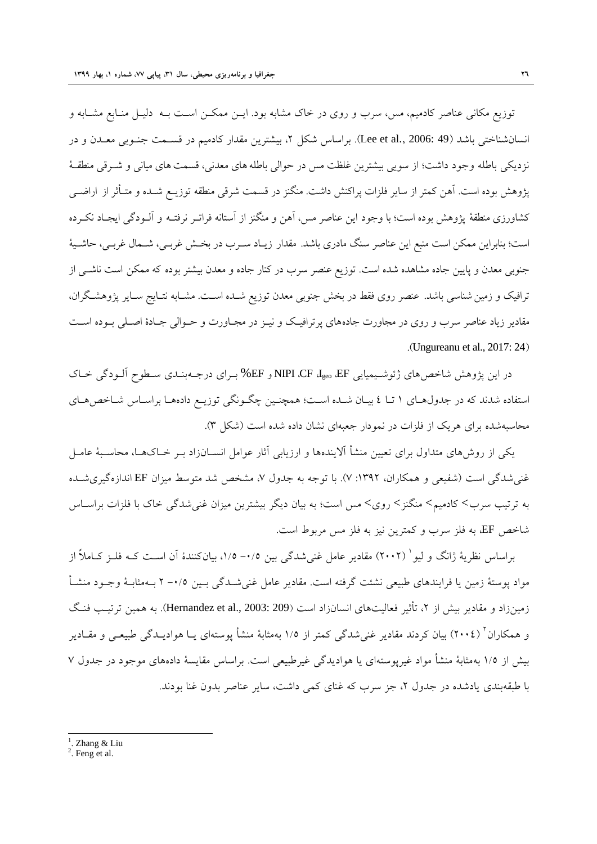توزيع مکاني عناصر کادميم، مس، سرب و روي در خاک مشابه بود. ايــن ممکــن اســت بــه دليـل منــابع مشــابه و انسان شناختی باشد (Lee et al., 2006: 49). براساس شکل ۲، بيشترين مقدار کادميم در قسـمت جنـوبی معـدن و در نزديکی باطله وجود داشت؛ از سويي بيشترين غلظت مس در حوالی باطله های معدنی، قسمت های ميانی و شــرقی منطقــهٔ پژوهش بوده است. آهن کمتر از سایر فلزات پراکنش داشت. منگنز در قسمت شرقی منطقه توزیــع شــده و متـأثر از اراضــی کشاورزی منطقهٔ پژوهش بوده است؛ با وجود این عناصر مس، آهن و منگنز از آستانه فراتـر نرفتـه و آلــودگی ایجـاد نکــرده است؛ بنابراين ممکن است منبع اين عناصر سنگ مادري باشد. مقدار زيـاد سـرب در بخـش غربـي، شــمال غربــم، حاشــيهٔ جنوبی معدن و پایین جاده مشاهده شده است. توزیع عنصر سرب در کنار جاده و معدن بیشتر بوده که ممکن است ناشـــ, از ترافيک و زمين شناسي باشد. عنصر روي فقط در بخش جنوبي معدن توزيع شــده اســت. مشــابه نتــايج ســاير پژوهشـگران، مقادیر زیاد عناصر سرب و روی در مجاورت جادههای پرترافیـک و نیـز در مجـاورت و حــوالی جـادهٔ اصــلی بــوده اســت .(Ungureanu et al., 2017: 24)

در اين پژوهش شاخصهاي ژئوشـيميايي NIPI ،CF ،I<sub>geo</sub>، EF و EF% بـراي درجــهبنـدي ســطوح ألــودگي خــاک استفاده شدند که در جدول هــاي ١ تــا ٤ بيــان شــده اســت؛ همچنــين چگــونگي توزيــع دادههــا براســاس شــاخص هــاي محاسبهشده برای هریک از فلزات در نمودار جعبهای نشان داده شده است (شکل ۳).

یکی از روش۵های متداول برای تعیین منشأ آلایندهها و ارزیابی آثار عوامل انســانزاد بــر خــاکـهــا، محاســبهٔ عامــل غنی شدگی است (شفیعی و همکاران، ١٣٩٢: ٧). با توجه به جدول ٧، مشخص شد متوسط میزان EF اندازهگیری شـده به ترتيب سرب> کادميم> منگنز> روي> مس است؛ به بيان ديگر بيشترين ميزان غني شدگي خاک با فلزات براســاس شاخص EF، به فلز سرب و کمترين نيز به فلز مس مربوط است.

براساس نظریهٔ ژانگ و لیو ٔ (۲۰۰۲) مقادیر عامل غنیشدگی بین ۰/۵– ۱/۵، بیانکنندهٔ اَن اسـت کــه فلــز کــاملاً از مواد پوستهٔ زمين يا فرايندهاي طبيعي نشئت گرفته است. مقادير عامل غنيشـدگي بـين ٠/٥- ٢ بـهمثابـهٔ وجــود منشــأ زمينزاد و مقادير بيش از ۲، تأثير فعاليتّهاي انسانزاد است (209 :2003 (Hernandez et al., 2003). بِه همين ترتيب فنـگ و همکاران<sup>۲</sup> (۲۰۰٤) بیان کردند مقادیر غنیشدگی کمتر از ۱/۵ بهمثابهٔ منشأ پوستهای یـا هوادیــدگی طبیعـی و مقــادیر بیش از ۱/۵ بهمثابهٔ منشأ مواد غیرپوستهای یا هوادیدگی غیرطبیعی است. براساس مقایسهٔ دادههای موجود در جدول ۷ با طبقهبندي يادشده در جِدُول ٢، جز سرب که غُناي کمي داشت، ساير عناصر بدون غنا بودند.

l

 $<sup>1</sup>$ . Zhang & Liu</sup>

 $2$ . Feng et al.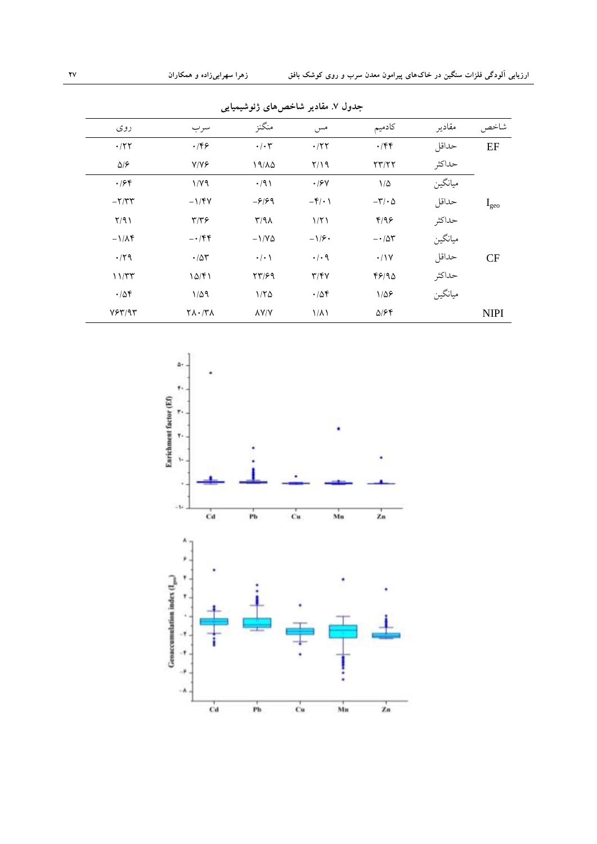| معود المستعمير مستشير معتقدتها رعو متيسياتي |                                     |                    |                                |                            |         |               |  |
|---------------------------------------------|-------------------------------------|--------------------|--------------------------------|----------------------------|---------|---------------|--|
| ر وی                                        | سرب                                 | منگنز              | مس                             | كادميم                     | مقادير  | شاخص          |  |
| .777                                        | $\cdot$ /۴۶                         | $\cdot/\cdot7$     | $\cdot$ /٢٢                    | $\cdot$ /۴۴                | حداقل   | EF            |  |
| $\Delta$ /۶                                 | $Y/Y$ ۶                             | 19/10              | Y/Y                            | $\tau\tau/\tau\tau$        | حداكثر  |               |  |
| $\cdot$ /۶۴                                 | 1/Y9                                | $\cdot$ /9)        | $\cdot$ / $\mathcal{F}$ $\vee$ | $1/\Delta$                 | ميانگين |               |  |
| $-\tau/\tau\tau$                            | $-1/\gamma V$                       | $-5/99$            | $-\mathbf{f}/\cdot$ )          | $-\mathsf{r}/\cdot \Delta$ | حداقل   | $I_{\rm geo}$ |  |
| Y/91                                        | $\tau/\tau$ ۶                       | $\Gamma/9\Lambda$  | $1/\Upsilon$                   | f/99                       | حداكثر  |               |  |
| $-1/\lambda f$                              | $-\cdot$ /۴۴                        | $-1/\gamma \Delta$ | $-1/5$                         | $-100$                     | ميانگين |               |  |
| $\cdot$ /٢٩                                 | $\cdot$ / $\Delta \tau$             | $\cdot/\cdot$ \    | $\cdot/\cdot$ 9                | $\cdot$ /\Y                | حداقل   | CF            |  |
| 11/TT                                       | 10/F1                               | $\tau\tau$ /۶۹     | $T/\Upsilon V$                 | 48190                      | حداكثر  |               |  |
| .78                                         | $1/\Delta$ 9                        | 1/50               | .788                           | $1/\Delta$ ۶               | ميانگين |               |  |
| Y5Y/9T                                      | $\mathcal{N} \setminus \mathcal{N}$ | <b>AY/Y</b>        | $1/\lambda$                    | 5/64                       |         | <b>NIPI</b>   |  |
|                                             |                                     |                    |                                |                            |         |               |  |

جدول ٧. مقادیر شاخص های ژئوشیمیایے

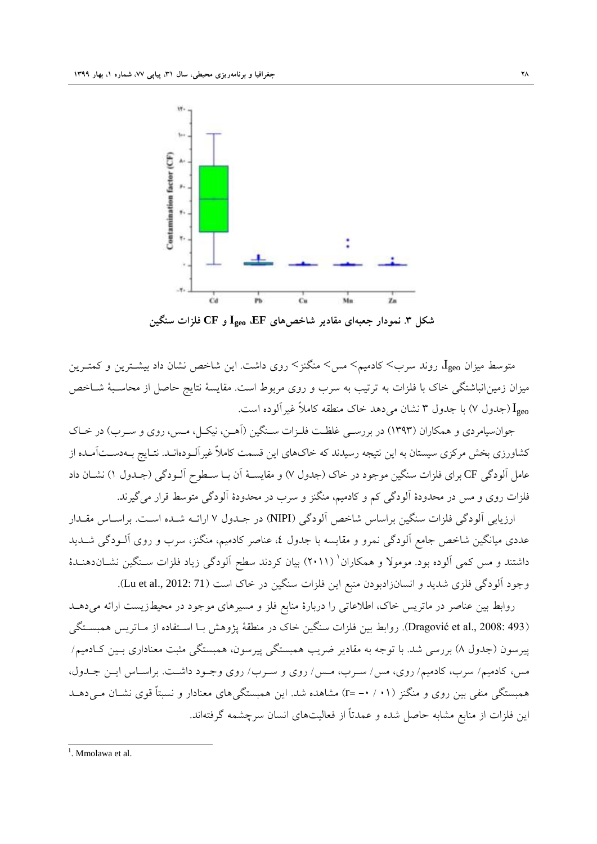

متوسط ميزان  $I_\text{geo}$  روند سرب> کادميم> مس> منگنز> روي داشت. اين شاخص نشان داد بيشــترين و کمتـرين میزان زمین انباشتگی خاک با فلزات به ترتیب به سرب و روی مربوط است. مقایسهٔ نتایج حاصل از محاسـبهٔ شــاخص اجدول ۷) با جدول ۳ نشان میٍدهد خاک منطقه کاملاً غیرآلوده است. (Cy

جوان سيامردي و همکاران (١٣٩٣) در بررسـي غلظـت فلـزات سـنگين (آهـن، نيکـل، مـس، روي و سـرب) در خـاک کشاورزی بخش مرکزی سیستان به این نتیجه رسیدند که خاکهای این قسمت کاملاً غیرآلــودهانــد. نتــایج بــهدســتآمــده از عامل آلودگی CF برای فلزات سنگین موجود در خاک (جدول ۷) و مقایسـهٔ آن بـا سـطوح آلــودگی (جــدول ۱) نشــان داد فلزات روی و مس در محدودهٔ آلودگی کم و کادمیم، منگنز و سرب در محدودهٔ آلودگ<sub>ی</sub> متوسط قرار میگیرند.

ارزيابي آلودگي فلزات سنگين براساس شاخص آلودگي (NIPI) در جـدول ۷ ارائـه شـده اسـت. براسـاس مقـدار عددی میانگین شاخص جامع آلودگی نمرو و مقایسه با جدول ٤، عناصر کادمیم، منگنز، سرب و روی آلــودگی شــدید داشتند و مس کمی اَلوده بود. مومولا و همکاران ٰ (۲۰۱۱) بیان کردند سطح اَلودگی زیاد فلزات سـنگین نشــان‹هنــدهٔ وجود آلودگی فلزی شدید و انسانزادبودن منبع این فلزات سنگین در خاک است (Lu et al., 2012: 71).

روابط بين عناصر در ماتريس خاک، اطلاعاتي را دربارهٔ منابع فلز و مسيرهاي موجود در محيطزيست ارائه ميدهــد (Dragović et al., 2008: 493). روابط بين فلزات سنگين خاک در منطقهٔ پژوهش بـا اسـتفاده از مـاتريس همبسـتگي پیرسون (جدول ۸) بررسی شد. با توجه به مقادیر ضریب همبستگی پیرسون، همبستگی مثبت معناداری بـین کـادمیم⁄ هس، کادمیم/ سرب، کادمیم/ روی، مس/ سـرب، مـس/ روی و سـرب/ روی وجـود داشـت. براسـاس ایـن جـدول، همبستگی منفی بین روی و منگنز (۰۱ / ۰+ =r) مشاهده شد. این همبستگی های معنادار و نسبتاً قوی نشــان مــی دهــد اين فلزات از منابع مشابه حاصل شده و عمدتاً از فعاليتهاى انسان سرچشمه گرفتهاند.

<sup>&</sup>lt;sup>1</sup>. Mmolawa et al.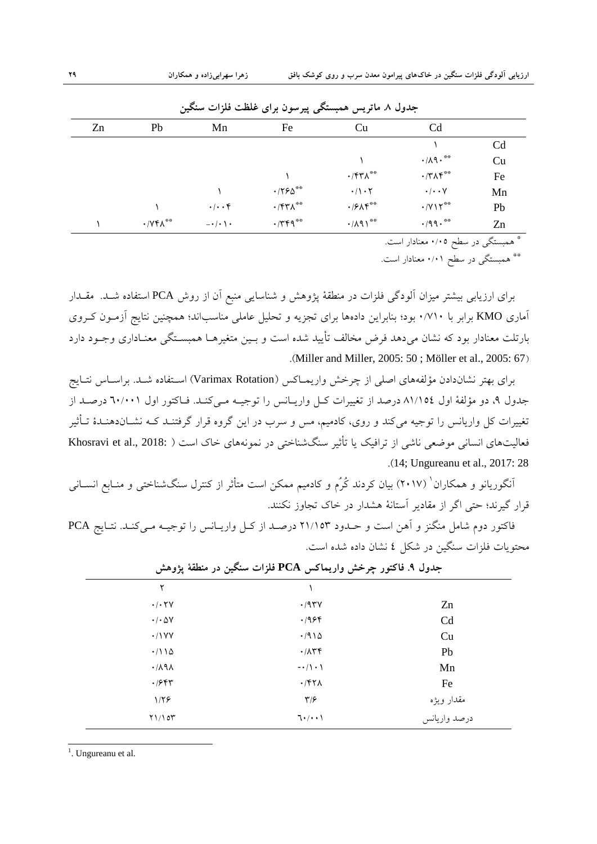| جدوں ۸. مأثريس همبسنگي پيرسوں براي علطت قلزات سنگين |                    |                      |                          |                            |                         |    |
|-----------------------------------------------------|--------------------|----------------------|--------------------------|----------------------------|-------------------------|----|
| Zn                                                  | Pb                 | Mn                   | Fe                       | Cu                         | C <sub>d</sub>          |    |
|                                                     |                    |                      |                          |                            |                         | Cd |
|                                                     |                    |                      |                          |                            | $\cdot/\lambda$ 9.**    | Cu |
|                                                     |                    |                      |                          | $\cdot$ /۴۳ $\Lambda^{**}$ | $\cdot$ /٣ $\wedge$ ۴** | Fe |
|                                                     |                    |                      | $\cdot$ /٢۶ $\Delta$ **  | $\cdot/\cdot$ $\tau$       | $\cdot/\cdot\cdot$ Y    | Mn |
|                                                     |                    | $\cdot/\cdot\cdot$ ۴ | $\cdot$ /۴۳ $\Lambda$ ** | $\cdot$ /۶ $\wedge$ ۴**    | $\cdot$ /Y\۲**          | Pb |
|                                                     | $\cdot$ / $YFA$ ** | $-\cdot/\cdot \cdot$ | $\cdot$ /٣۴٩**           | $\cdot/\lambda$ 9)**       | $\cdot$ /99.**          | Zn |

**جذٍل .6 هاترٗط ّوثعتگٖ پ٘رظَى ترإ غلظت فلسات ظٌگ٘ي**

\* ّوجغتگٖ در عيص 0/05 هؼٌبدار اعت.

\*\* همبستگي در سطح ۰/۰۱ معنادار است.

برای ارزیابی بیشتر میزان آلودگی فلزات در منطقهٔ پژوهش و شناسایی منبع آن از روش PCA استفاده شــد. مقــدار آماری KMO برابر با ۷۱۰/۰ بود؛ بنابراین دادهها برای تجزیه و تحلیل عاملی مناسباند؛ همچنین نتایج آزمـون کـروی بارتلت معنادار بود که نشان می۵هد فرض مخالف تأیید شده است و بـین متغیرهــا همبســتگی معنــاداری وجــود دارد .(Miller and Miller, 2005: 50; Möller et al., 2005: 67)

براي بهتر نشاندادن مؤلفههاي اصلي از چرخش واريمــاكس (Varimax Rotation) اسـتفاده شــد. براســاس نتــايج جدول ۹، دو مؤلفهٔ اول ۵۱/۱۵٤ درصد از تغییرات کـل واریـانس را توجیـه مـی کنـد. فـاکتور اول ۲۰/۰۰۱ درصـد از تغييرات کل واريانس را توجيه ميکند و روي، کادميم، مس و سرب در اين گروه قرار گرفتنــد کــه نشــاندهنــدهٔ تـأثير فعالیتهای انسانی موضعی ناشی از ترافیک یا تأثیر سنگشناختی در نمونههای خاک است ( :Khosravi et al., 2018 .)14; Ungureanu et al., 2017: 28

اَنگوریانو و همکاران <sup>'</sup> (۲۰۱۷) بیان کردند کُرُم و کادمیم ممکن است متأثر از کنترل سنگشناختی و منـابع انســانی قرار گیرند؛ حتی اگر از مقادیر آستانهٔ هشدار در خاک تجاوز نکنند.

فاکتور دوم شامل منگنز و آهن است و حــدود ۲۱/۱۵۳ درصــد از کــل واريــانس را توجيــه مــيکنــد. نتــايج PCA محتويات فلزات سنگين در شکل ٤ نشان داده شده است.

| ٢                                    |                            |              |
|--------------------------------------|----------------------------|--------------|
| $\cdot/\cdot$ $\mathsf{Y}\mathsf{V}$ | .797Y                      | Zn           |
| $\cdot/\cdot \Delta V$               | .1954                      | Cd           |
| .11YY                                | .7910                      | Cu           |
| $\cdot/110$                          | $\cdot/\lambda$ ۳۴         | Pb           |
| $\cdot$ / $\wedge$ 9 $\wedge$        | $-\cdot/\wedge\cdot\wedge$ | Mn           |
| $\cdot$ /۶۴۳                         | .771.                      | Fe           |
| 1/55                                 | $\mathbf{y}/\mathbf{y}$    | مقدار ويژه   |
| Y1/10Y                               | $7 \cdot / \cdot \cdot$    | درصد واريانس |

|  | جدول ۹. فاکتور چرخش واریماکس PCA فلزات سنگین در منطقهٔ پژوهش |  |
|--|--------------------------------------------------------------|--|
|  |                                                              |  |

<sup>1</sup>. Ungureanu et al.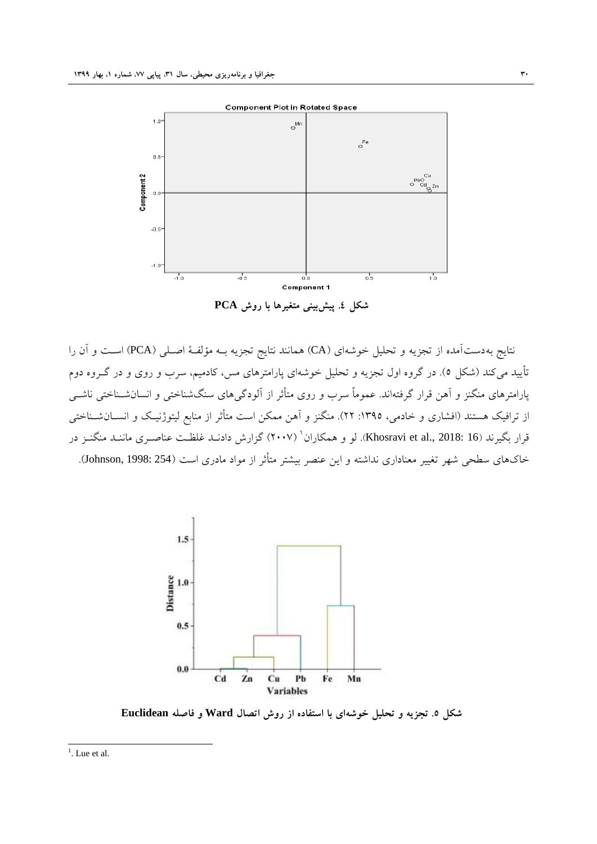

**ؼکل .2 پ٘ػتٌٖ٘ هتغ٘رّا تا رٍغ PCA**

نتايج بهدستآمده از تجزيه و تحليل خوشهاى (CA) همانند نتايج تجزيه بــه مؤلفـهٔ اصـلـي (PCA) اسـت و آن را تأیید م<sub>ی</sub>کند (شکل ٥). در گروه اول تجزیه و تحلیل خوشهای پارامترهای مس، کادمیم، سرب و روی و در گــروه دوم پارامترهای منگنز و آهن قرار گرفتهاند. عموماً سرب و روی متأثر از آلودگیهای سنگشناختی و انسانشــناختی ناشــی از ترافیک هستند (افشاری و خادمی، ١٣٩٥: ٢٢). منگنز و آهن ممکن است متأثر از منابع لیتوژنیک و انســانشــناختی قرار بگیرند (Khosravi et al., 2018: 16). لَو و همکاران ` (۲۰۰۷) گزارش دادنــد غلظــت عناصــری ماننــد منگنــز در خاکهای سطحی شهر تغییر معناداری نداشته و این عنصر بیشتر متأثر از مواد مادری است (Johnson, 1998: 254).



**ؼکل .3 تجسِٗ ٍ تحل٘ل خَؼِإ تا اظتفادُ از رٍغ اتصال Ward ٍ فاصلِ Euclidean**

 $\frac{1}{1}$ . Lue et al.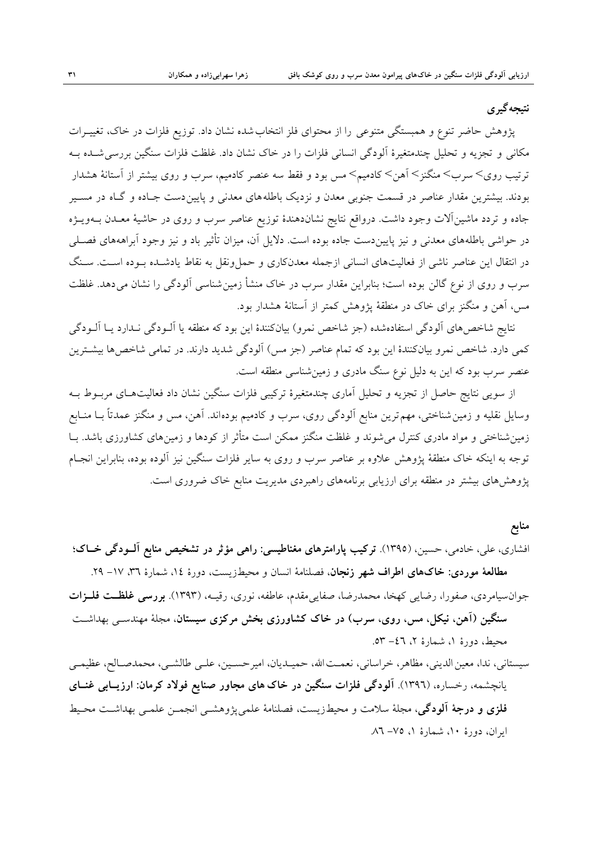#### **نتيجه گير ي**

پژوهش حاضر تنوع و همبستگی متنوعی را از محتوای فلز انتخاب شده نشان داد. توزیع فلزات در خاک، تغییـرات مکانی و تجزیه و تحلیل چندمتغیرهٔ آلودگی انسانی فلزات را در خاک نشان داد. غلظت فلزات سنگین بررسی شـده بــه ترتیب روی< سرب< منگنز< آهن< کادمیم< مس بود و فقط سه عنصر کادمیم، سرب و روی بیشتر از آستانهٔ هشدار بودند. بيشترين مقدار عناصر در قسمت جنوبي معدن و نزديک باطلههاى معدنى و پايينِ دست جـاده و گـاه در مسـير جاده و تردد ماشينآلات وجود داشت. درواقع نتايج نشاندهندهٔ توزيع عناصر سرب و روى در حاشيهٔ معـدن بــهويــژه در حواشی باطلههای معدنی و نیز پایینِ دست جاده بوده است. دلایل آن، میزان تأثیر باد و نیز وجود آبراهههای فصـلی در انتقال اين عناصر ناشي از فعاليتهاى انساني ازجمله معدنکارى و حملونقل به نقاط يادشـده بــوده اســت. ســنگ سرب و روی از نوع گالن بوده است؛ بنابراين مقدار سرب در خاک منشأ زمين شناسي آلودگ<sub>ی</sub> را نشان میٍدهد. غلظت مس، آهن و منگنز برای خاک در منطقهٔ پژوهش کمتر از آستانهٔ هشدار بود.

نتايج شاخصهاي آلودگي استفادهشده (جز شاخص نمرو) بيانکنندهٔ اين بود که منطقه يا آلــودگي نــدارد يــا آلــودگي کمی دارد. شاخص نمرو بيانکنندۀ اين بود که تمام عناصر (جز مس) اَلودگی شديد دارند. در تمامی شاخصها بيشــترين عنصر سرب بود که اين به دليل نوع سنگ مادري و زمينشناسي منطقه است.

از سویی نتایج حاصل از تجزیه و تحلیل آماری چندمتغیرهٔ ترکیبی فلزات سنگین نشان داد فعالیتهـای مربــوط بــه وسایل نقلیه و زمین شناختی، مهم ترین منابع آلودگی روی، سرب و کادمیم بودهاند. آهن، مس و منگنز عمدتاً بــا منــابع زمين شناختي و مواد مادري کنترل مي شوند و غلظت منگنز ممکن است متأثر از کودها و زمينهاي کشاورزي باشد. بــا توجه به اينکه خاک منطقهٔ پژوهش علاوه بر عناصر سرب و روی به ساير فلزات سنگين نيز آلوده بوده، بنابراين انجـام پژوهشِهای بیشتر در منطقه برای ارزیابی برنامههای راهبردی مدیریت منابع خاک ضروری است.

#### **هٌاتع**

افشاری، علی، خادمی، حسین، (۱۳۹۵). ترکیب پارامترهای مغناطیسی: راهی مؤثر در تشخیص منابع آلــودگی خــاک؛ مطالعهٔ موردی: خاکهای اطراف شهر زنجان، فصلنامهٔ انسان و محیطزیست، دورهٔ ۱۶، شمارهٔ ۳۱، ۱۷– ۲۹.

- جوان سیامردی، صفورا، رضایی کهخا، محمدرضا، صفایی مقدم، عاطفه، نوری، رقیـه، (۱۳۹۳). **بررسی غلظــت فلــزات ظٌگ٘ي )آّي، ً٘کل، هط، ر،ٍٕ ظرب( در خاک کؽاٍرزٕ تخػ هرکسٕ ظ٘عتاى**، هدلٔ هٌْذعـٖ ثْذاؽـت محيط، دورهٔ ۱، شمارهٔ ۲، ۶۲– ۵۳.
- سيستاني، ندا، معين الديني، مظاهر، خراساني، نعمـت الله، حميـديان، اميرحسـين، علـي طالشـي، محمدصـالح، عظيمـي ٗبًسؾو،ِ رخغبر،ُ )1396(. **آلَدگٖ فلسات ظٌگ٘ي در خاکّإ هجاٍر صٌاٗع فَالد کرهاى8 ارزٗواتٖ غٌوإ**  فلزي و درجهٔ آلودگي، مجلهٔ سلامت و محیطزیست، فصلنامهٔ علمی یژوهشــی انجمــن علمــی بهداشــت محـیط ايران، دورة ١٠، شمارة ١، ٧٥– ٨٦.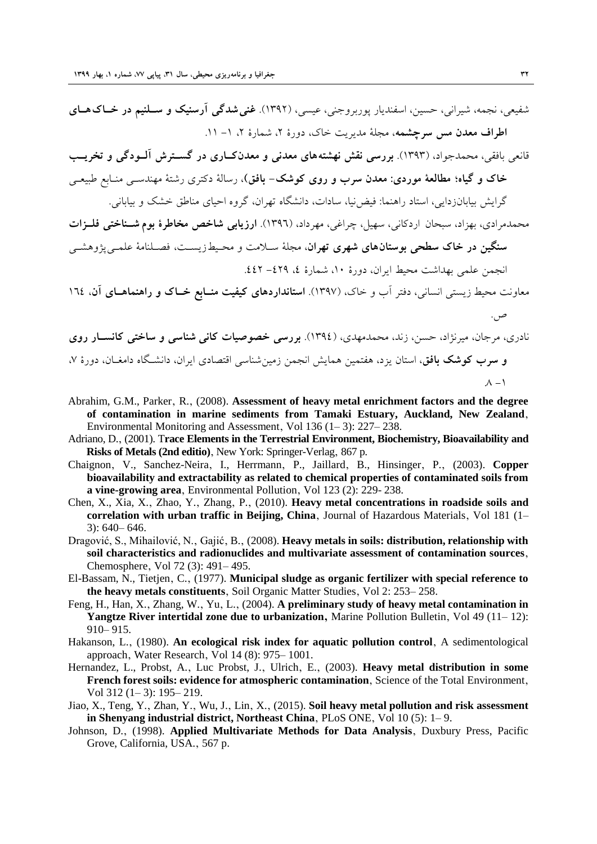شفیعی، نجمه، شیرانی، حسین، اسفندیار پوربروجنی، عیسی، (۱۳۹۲). **غنی شدگی آرسنیک و سـلنیم در خــاک هــای اطراف معدن مس سرچشمه**، مجلهٔ مدیریت خاک، دورهٔ ۲، شمارهٔ ۲، ۱– ۱۱.

قانعی بافقی، محمدجواد، (۱۳۹۳). **بررسی نقش نهشتههای معدنی و معدنکاری در گســترش آلــودگی و تخریــب خاک ٍ گ٘اُ؛ هطالعٔ هَرد8ٕ هعذى ظرب ٍ رٍٕ کَؼک- تافق(**، رعبلٔ دکتزٕ رؽتٔ هٌْذعـٖ هٌـبثغ ىج٘ؼـٖ

گرایش پیابانزدایی، استاد راهنما: فیض نِیا، سادات، دانشگاه تهران، گروه احیای مناطق خشک و بیابانی.

هحمدمرادي، بهزاد، سبحان اردکاني، سهيل، چراغي، مهرداد، (١٣٩٦). **ارزيابي شاخص مخاطرهٔ بوم شــناختي فلــزات سنگين در خاک سطحي بوستان هاي شهري تهران، مجلهٔ** سـلامت و محـبطـزيسـت، فصـلنامهٔ علمـي پژوهشـي انحمن علم عليهاشت محيط ابران، دورهٔ ١٠، شمارهٔ ٤، ٤٤٩- ٤٤٢.

معاونت محیط زیستی انسانی، دفتر آب و خاک، (۱۳۹۷). **استانداردهای کیفیت منــابع خــاک و راهنماهــای آن، ۱۶**٤

نادري، مرجان، ميرنژاد، حسن، زند، محمدمهدي، (١٣٩٤). ب**ررسي خصوصيات کاني شناسي و ساختي کانســار روي** و **سرب كوشك بافق**، استان يزد، هفتمين همايش انجمن زمين شناسي اقتصادى ايران، دانشـگاه دامغـان، دورهٔ ۷،  $\Lambda - 1$ 

- Abrahim, G.M., Parker, R., (2008). Assessment of heavy metal enrichment factors and the degree **of contamination in marine sediments from Tamaki Estuary, Auckland, New Zealand**' Environmental Monitoring and Assessment, Vol 136  $(1-3)$ : 227–238.
- Adriano, D.' (2001). T**race Elements in the Terrestrial Environment, Biochemistry, Bioavailability and Risks of Metals (2nd editio)**, New York: Springer-Verlag, 867 p.
- Chaignon, V., Sanchez-Neira, I., Herrmann, P., Jaillard, B., Hinsinger, P., (2003). Copper **bioavailability and extractability as related to chemical properties of contaminated soils from**  a vine-growing area, Environmental Pollution, Vol 123 (2): 229- 238.
- Chen, X., Xia, X., Zhao, Y., Zhang, P., (2010). **Heavy metal concentrations in roadside soils and** correlation with urban traffic in Beijing, China, Journal of Hazardous Materials, Vol 181 (1– 3): 640– 646.
- Dragović, S., Mihailović, N., Gajić, B., (2008). **Heavy metals in soils: distribution, relationship with soil characteristics and radionuclides and multivariate assessment of contamination sources**' Chemosphere, Vol 72 (3): 491– 495.
- El-Bassam, N., Tietjen' C.' (1977). **Municipal sludge as organic fertilizer with special reference to the heavy metals constituents**, Soil Organic Matter Studies, Vol 2: 253– 258.
- Feng, H., Han, X., Zhang, W., Yu, L., (2004). A preliminary study of heavy metal contamination in **Yangtze River intertidal zone due to urbanization,** Marine Pollution Bulletin, Vol 49 (11–12): 910– 915.
- Hakanson, L., (1980). An ecological risk index for aquatic pollution control, A sedimentological approach, Water Research, Vol 14 (8): 975– 1001.
- Hernandez, L., Probst, A., Luc Probst, J., Ulrich, E., (2003). Heavy metal distribution in some **French forest soils: evidence for atmospheric contamination**, Science of the Total Environment, Vol 312 (1– 3): 195– 219.
- Jiao, X., Teng, Y., Zhan, Y., Wu, J., Lin, X., (2015). **Soil heavy metal pollution and risk assessment in Shenyang industrial district, Northeast China**, PLoS ONE, Vol 10 (5): 1–9.
- Johnson, D.' (1998). **Applied Multivariate Methods for Data Analysis**' Duxbury Press, Pacific Grove, California, USA., 567 p.

ص.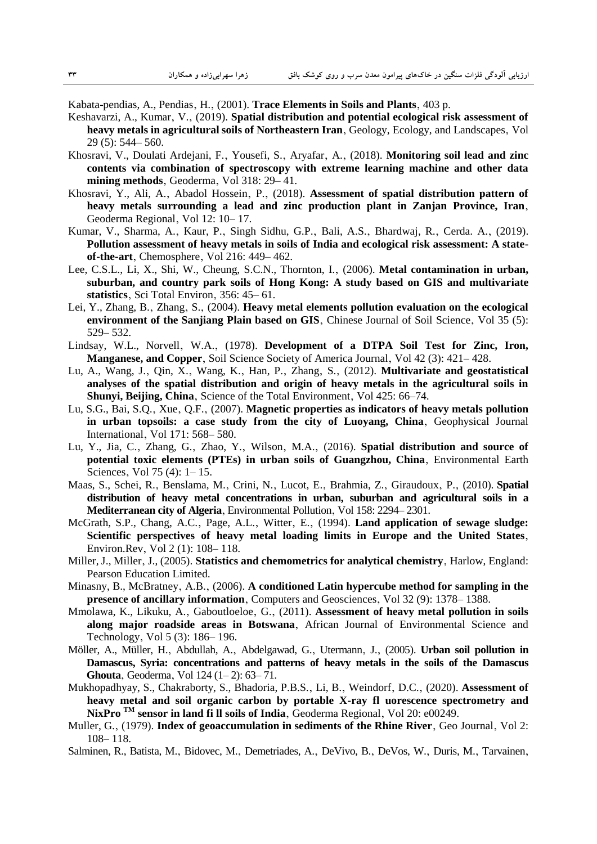Kabata-pendias, A., Pendias, H., (2001). **Trace Elements in Soils and Plants**, 403 p.

- Keshavarzi, A., Kumar, V., (2019). **Spatial distribution and potential ecological risk assessment of** heavy metals in agricultural soils of Northeastern Iran, Geology, Ecology, and Landscapes, Vol 29 (5): 544– 560.
- Khosravi, V., Doulati Ardejani, F., Yousefi, S., Aryafar, A., (2018). **Monitoring soil lead and zinc contents via combination of spectroscopy with extreme learning machine and other data**  mining methods, Geoderma, Vol 318: 29-41.
- Khosravi, Y., Ali, A., Abadol Hossein, P., (2018). **Assessment of spatial distribution pattern of heavy metals surrounding a lead and zinc production plant in Zanjan Province, Iran**' Geoderma Regional, Vol 12: 10–17.
- Kumar, V., Sharma, A., Kaur, P., Singh Sidhu, G.P., Bali, A.S., Bhardwaj, R., Cerda. A., (2019). **Pollution assessment of heavy metals in soils of India and ecological risk assessment: A state**of-the-art, Chemosphere, Vol 216: 449-462.
- Lee, C.S.L., Li, X., Shi, W., Cheung, S.C.N., Thornton, I., (2006). Metal contamination in urban, **suburban, and country park soils of Hong Kong: A study based on GIS and multivariate**  statistics, Sci Total Environ, 356: 45– 61.
- Lei, Y., Zhang, B., Zhang, S., (2004). **Heavy metal elements pollution evaluation on the ecological environment of the Sanjiang Plain based on GIS**, Chinese Journal of Soil Science, Vol 35 (5): 529– 532.
- Lindsay, W.L., Norvell, W.A., (1978). Development of a DTPA Soil Test for Zinc, Iron, **Manganese, and Copper**, Soil Science Society of America Journal, Vol 42 (3): 421–428.
- Lu, A., Wang, J., Qin, X., Wang, K., Han, P., Zhang, S., (2012). **Multivariate and geostatistical analyses of the spatial distribution and origin of heavy metals in the agricultural soils in Shunyi, Beijing, China**, Science of the Total Environment, Vol 425: 66–74.
- Lu, S.G., Bai, S.Q.' Xue' Q.F.' (2007). **Magnetic properties as indicators of heavy metals pollution**  in urban topsoils: a case study from the city of Luoyang, China, Geophysical Journal International, Vol 171: 568– 580.
- Lu, Y., Jia, C.' Zhang, G.' Zhao, Y.' Wilson' M.A.' (2016). **Spatial distribution and source of potential toxic elements (PTEs) in urban soils of Guangzhou, China**' Environmental Earth Sciences, Vol 75 (4):  $1 - 15$ .
- Maas, S., Schei, R., Benslama, M., Crini, N., Lucot, E., Brahmia, Z., Giraudoux, P., (2010). Spatial **distribution of heavy metal concentrations in urban, suburban and agricultural soils in a**  Mediterranean city of Algeria, Environmental Pollution, Vol 158: 2294– 2301.
- McGrath, S.P., Chang, A.C., Page, A.L., Witter, E., (1994). Land application of sewage sludge: **Scientific perspectives of heavy metal loading limits in Europe and the United States**' Environ.Rev, Vol 2 (1): 108–118.
- Miller, J., Miller, J., (2005). **Statistics and chemometrics for analytical chemistry**, Harlow, England: Pearson Education Limited.
- Minasny, B., McBratney, A.B., (2006). A conditioned Latin hypercube method for sampling in the **presence of ancillary information**, Computers and Geosciences, Vol 32 (9): 1378– 1388.
- Mmolawa, K., Likuku, A., Gaboutloeloe, G., (2011). **Assessment of heavy metal pollution in soils along major roadside areas in Botswana**' African Journal of Environmental Science and Technology, Vol 5 (3): 186–196.
- Möller, A., Müller, H., Abdullah, A., Abdelgawad, G., Utermann, J., (2005). **Urban soil pollution in Damascus, Syria: concentrations and patterns of heavy metals in the soils of the Damascus Ghouta**, Geoderma, Vol 124 (1–2): 63–71.
- Mukhopadhyay, S., Chakraborty, S., Bhadoria, P.B.S., Li, B., Weindorf, D.C., (2020). Assessment of **heavy metal and soil organic carbon by portable X-ray fl uorescence spectrometry and**  NixPro <sup>TM</sup> sensor in land fi ll soils of India, Geoderma Regional, Vol 20: e00249.
- Muller, G., (1979). **Index of geoaccumulation in sediments of the Rhine River**, Geo Journal, Vol 2: 108– 118.
- Salminen, R., Batista, M., Bidovec, M., Demetriades, A., DeVivo, B., DeVos, W., Duris, M., Tarvainen,